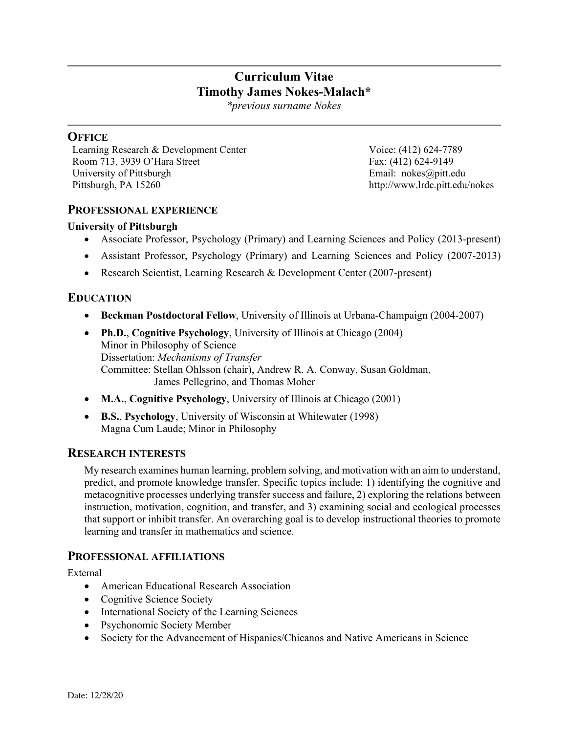# **Curriculum Vitae Timothy James Nokes-Malach\***

*\*previous surname Nokes*

# **OFFICE**

Learning Research & Development Center Room 713, 3939 O'Hara Street University of Pittsburgh Pittsburgh, PA 15260

Voice: (412) 624-7789 Fax: (412) 624-9149 Email: nokes@pitt.edu http://www.lrdc.pitt.edu/nokes

#### **PROFESSIONAL EXPERIENCE**

#### **University of Pittsburgh**

- Associate Professor, Psychology (Primary) and Learning Sciences and Policy (2013-present)
- Assistant Professor, Psychology (Primary) and Learning Sciences and Policy (2007-2013)
- Research Scientist, Learning Research & Development Center (2007-present)

# **EDUCATION**

- **Beckman Postdoctoral Fellow**, University of Illinois at Urbana-Champaign (2004-2007)
- **Ph.D.**, **Cognitive Psychology**, University of Illinois at Chicago (2004) Minor in Philosophy of Science Dissertation: *Mechanisms of Transfer* Committee: Stellan Ohlsson (chair), Andrew R. A. Conway, Susan Goldman, James Pellegrino, and Thomas Moher
- **M.A.**, **Cognitive Psychology**, University of Illinois at Chicago (2001)
- **B.S.**, **Psychology**, University of Wisconsin at Whitewater (1998) Magna Cum Laude; Minor in Philosophy

#### **RESEARCH INTERESTS**

My research examines human learning, problem solving, and motivation with an aim to understand, predict, and promote knowledge transfer. Specific topics include: 1) identifying the cognitive and metacognitive processes underlying transfer success and failure, 2) exploring the relations between instruction, motivation, cognition, and transfer, and 3) examining social and ecological processes that support or inhibit transfer. An overarching goal is to develop instructional theories to promote learning and transfer in mathematics and science.

#### **PROFESSIONAL AFFILIATIONS**

External

- American Educational Research Association
- Cognitive Science Society
- International Society of the Learning Sciences
- Psychonomic Society Member
- Society for the Advancement of Hispanics/Chicanos and Native Americans in Science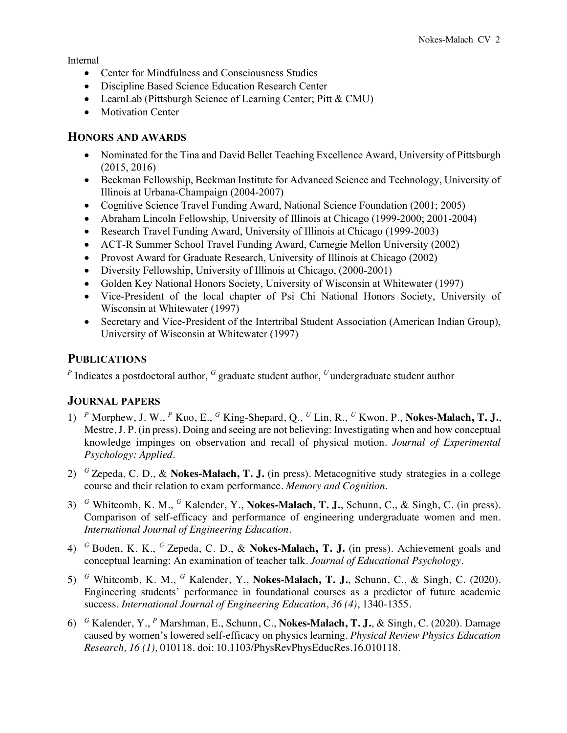Internal

- Center for Mindfulness and Consciousness Studies
- Discipline Based Science Education Research Center
- LearnLab (Pittsburgh Science of Learning Center; Pitt & CMU)
- Motivation Center

#### **HONORS AND AWARDS**

- Nominated for the Tina and David Bellet Teaching Excellence Award, University of Pittsburgh (2015, 2016)
- Beckman Fellowship, Beckman Institute for Advanced Science and Technology, University of Illinois at Urbana-Champaign (2004-2007)
- Cognitive Science Travel Funding Award, National Science Foundation (2001; 2005)
- Abraham Lincoln Fellowship, University of Illinois at Chicago (1999-2000; 2001-2004)
- Research Travel Funding Award, University of Illinois at Chicago (1999-2003)
- ACT-R Summer School Travel Funding Award, Carnegie Mellon University (2002)
- Provost Award for Graduate Research, University of Illinois at Chicago (2002)
- Diversity Fellowship, University of Illinois at Chicago, (2000-2001)
- Golden Key National Honors Society, University of Wisconsin at Whitewater (1997)
- Vice-President of the local chapter of Psi Chi National Honors Society, University of Wisconsin at Whitewater (1997)
- Secretary and Vice-President of the Intertribal Student Association (American Indian Group), University of Wisconsin at Whitewater (1997)

## **PUBLICATIONS**

*<sup>P</sup>* Indicates a postdoctoral author, *<sup>G</sup>* graduate student author, *<sup>U</sup>*undergraduate student author

## **JOURNAL PAPERS**

- 1) *<sup>P</sup>* Morphew, J. W., *<sup>P</sup>* Kuo, E., *<sup>G</sup>* King-Shepard, Q., *<sup>U</sup>* Lin, R., *<sup>U</sup>* Kwon, P., **Nokes-Malach, T. J.**, Mestre, J. P. (in press). Doing and seeing are not believing: Investigating when and how conceptual knowledge impinges on observation and recall of physical motion. *Journal of Experimental Psychology: Applied*.
- 2) *<sup>G</sup>*Zepeda, C. D., & **Nokes-Malach, T. J.** (in press). Metacognitive study strategies in a college course and their relation to exam performance. *Memory and Cognition*.
- 3) *<sup>G</sup>* Whitcomb, K. M., *<sup>G</sup>* Kalender, Y., **Nokes-Malach, T. J.**, Schunn, C., & Singh, C. (in press). Comparison of self-efficacy and performance of engineering undergraduate women and men. *International Journal of Engineering Education.*
- 4) *<sup>G</sup>*Boden, K. K., *<sup>G</sup>*Zepeda, C. D., & **Nokes-Malach, T. J.** (in press). Achievement goals and conceptual learning: An examination of teacher talk. *Journal of Educational Psychology*.
- 5) *<sup>G</sup>* Whitcomb, K. M., *<sup>G</sup>* Kalender, Y., **Nokes-Malach, T. J.**, Schunn, C., & Singh, C. (2020). Engineering students' performance in foundational courses as a predictor of future academic success. *International Journal of Engineering Education*, *36 (4)*, 1340-1355.
- 6) *<sup>G</sup>* Kalender, Y., *<sup>P</sup>* Marshman, E., Schunn, C., **Nokes-Malach, T. J.**, & Singh, C. (2020). Damage caused by women's lowered self-efficacy on physics learning. *Physical Review Physics Education Research, 16 (1),* 010118*.* doi: 10.1103/PhysRevPhysEducRes.16.010118.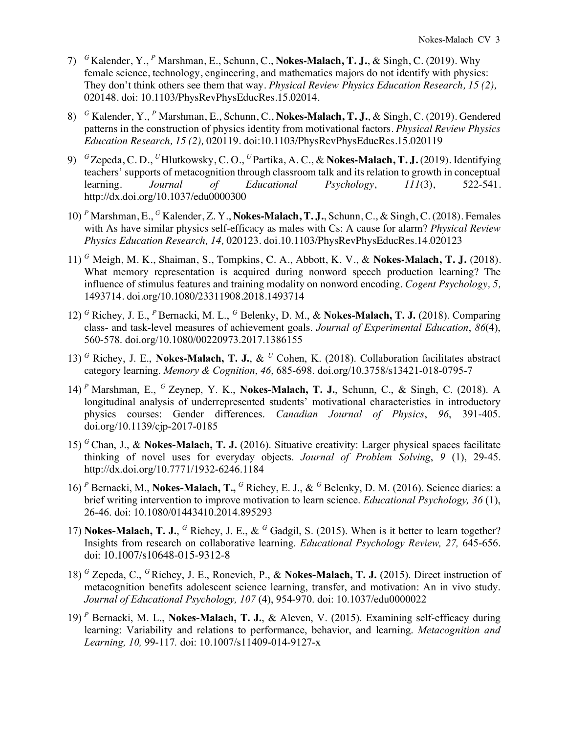- 7) *<sup>G</sup>*Kalender, Y., *<sup>P</sup>* Marshman, E., Schunn, C., **Nokes-Malach, T. J.**, & Singh, C. (2019). Why female science, technology, engineering, and mathematics majors do not identify with physics: They don't think others see them that way. *Physical Review Physics Education Research, 15 (2),*  020148*.* doi: 10.1103/PhysRevPhysEducRes.15.02014.
- 8) *<sup>G</sup>* Kalender, Y., *<sup>P</sup>* Marshman, E., Schunn, C., **Nokes-Malach, T. J.**, & Singh, C. (2019). Gendered patterns in the construction of physics identity from motivational factors. *Physical Review Physics Education Research, 15 (2),* 020119*.* doi:10.1103/PhysRevPhysEducRes.15.020119
- 9) *<sup>G</sup>*Zepeda, C. D., *<sup>U</sup>*Hlutkowsky, C. O., *<sup>U</sup>*Partika, A. C., & **Nokes-Malach, T. J.** (2019). Identifying teachers' supports of metacognition through classroom talk and its relation to growth in conceptual learning. *Journal of Educational Psychology*, *111*(3), 522-541. http://dx.doi.org/10.1037/edu0000300
- 10) *<sup>P</sup>* Marshman, E., *<sup>G</sup>* Kalender, Z. Y., **Nokes-Malach, T. J.**, Schunn, C., & Singh, C. (2018). Females with As have similar physics self-efficacy as males with Cs: A cause for alarm? *Physical Review Physics Education Research, 14,* 020123. doi.10.1103/PhysRevPhysEducRes.14.020123
- 11) *<sup>G</sup>* Meigh, M. K., Shaiman, S., Tompkins, C. A., Abbott, K. V., & **Nokes-Malach, T. J.** (2018). What memory representation is acquired during nonword speech production learning? The influence of stimulus features and training modality on nonword encoding. *Cogent Psychology, 5,*  1493714*.* doi.org/10.1080/23311908.2018.1493714
- 12) *<sup>G</sup>* Richey, J. E., *<sup>P</sup>* Bernacki, M. L., *<sup>G</sup>* Belenky, D. M., & **Nokes-Malach, T. J.** (2018). Comparing class- and task-level measures of achievement goals. *Journal of Experimental Education*, *86*(4), 560-578. doi.org/10.1080/00220973.2017.1386155
- 13) *<sup>G</sup>* Richey, J. E., **Nokes-Malach, T. J.**, & *<sup>U</sup>* Cohen, K. (2018). Collaboration facilitates abstract category learning. *Memory & Cognition*, *46*, 685-698. doi.org/10.3758/s13421-018-0795-7
- 14) *<sup>P</sup>* Marshman, E., *<sup>G</sup>* Zeynep, Y. K., **Nokes-Malach, T. J.**, Schunn, C., & Singh, C. (2018). A longitudinal analysis of underrepresented students' motivational characteristics in introductory physics courses: Gender differences. *Canadian Journal of Physics*, *96*, 391-405. doi.org/10.1139/cjp-2017-0185
- 15) *<sup>G</sup>* Chan, J., & **Nokes-Malach, T. J.** (2016). Situative creativity: Larger physical spaces facilitate thinking of novel uses for everyday objects. *Journal of Problem Solving*, *9* (1), 29-45. http://dx.doi.org/10.7771/1932-6246.1184
- 16) *<sup>P</sup>* Bernacki, M., **Nokes-Malach, T.,** *<sup>G</sup>* Richey, E. J., & *<sup>G</sup>* Belenky, D. M. (2016). Science diaries: a brief writing intervention to improve motivation to learn science. *Educational Psychology, 36* (1), 26-46. doi: 10.1080/01443410.2014.895293
- 17) **Nokes-Malach, T. J.**, *<sup>G</sup>* Richey, J. E., & *<sup>G</sup>* Gadgil, S. (2015). When is it better to learn together? Insights from research on collaborative learning. *Educational Psychology Review, 27,* 645-656. doi: 10.1007/s10648-015-9312-8
- 18) *<sup>G</sup>* Zepeda, C., *<sup>G</sup>* Richey, J. E., Ronevich, P., & **Nokes-Malach, T. J.** (2015). Direct instruction of metacognition benefits adolescent science learning, transfer, and motivation: An in vivo study. *Journal of Educational Psychology, 107* (4), 954-970. doi: 10.1037/edu0000022
- 19) *<sup>P</sup>* Bernacki, M. L., **Nokes-Malach, T. J.**, & Aleven, V. (2015). Examining self-efficacy during learning: Variability and relations to performance, behavior, and learning. *Metacognition and Learning, 10,* 99-117*.* doi: 10.1007/s11409-014-9127-x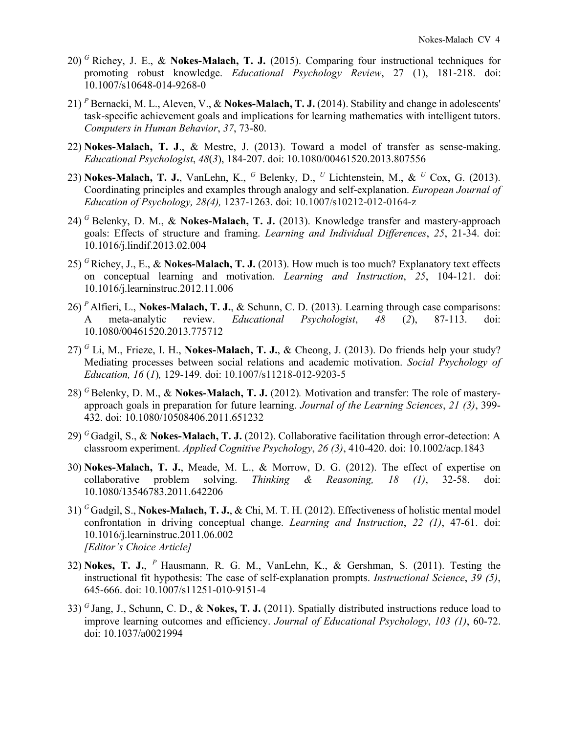- 20) *<sup>G</sup>* Richey, J. E., & **Nokes-Malach, T. J.** (2015). Comparing four instructional techniques for promoting robust knowledge. *Educational Psychology Review*, 27 (1), 181-218. doi: 10.1007/s10648-014-9268-0
- 21) *<sup>P</sup>* Bernacki, M. L., Aleven, V., & **Nokes-Malach, T. J.** (2014). Stability and change in adolescents' task-specific achievement goals and implications for learning mathematics with intelligent tutors. *Computers in Human Behavior*, *37*, 73-80.
- 22) **Nokes-Malach, T. J**., & Mestre, J. (2013). Toward a model of transfer as sense-making. *Educational Psychologist*, *48*(*3*), 184-207. doi: 10.1080/00461520.2013.807556
- 23) **Nokes-Malach, T. J.**, VanLehn, K., *<sup>G</sup>* Belenky, D., *<sup>U</sup>* Lichtenstein, M., & *<sup>U</sup>* Cox, G. (2013). Coordinating principles and examples through analogy and self-explanation. *European Journal of Education of Psychology, 28(4),* 1237-1263. doi: 10.1007/s10212-012-0164-z
- 24) *<sup>G</sup>* Belenky, D. M., & **Nokes-Malach, T. J.** (2013). Knowledge transfer and mastery-approach goals: Effects of structure and framing. *Learning and Individual Differences*, *25*, 21-34. doi: 10.1016/j.lindif.2013.02.004
- 25) *<sup>G</sup>* Richey, J., E., & **Nokes-Malach, T. J.** (2013). How much is too much? Explanatory text effects on conceptual learning and motivation. *Learning and Instruction*, *25*, 104-121. doi: 10.1016/j.learninstruc.2012.11.006
- 26) *<sup>P</sup>* Alfieri, L., **Nokes-Malach, T. J.**, & Schunn, C. D. (2013). Learning through case comparisons: A meta-analytic review. *Educational Psychologist*, *48* (*2*), 87-113. doi: 10.1080/00461520.2013.775712
- 27) *<sup>G</sup>* Li, M., Frieze, I. H., **Nokes-Malach, T. J.**, & Cheong, J. (2013). Do friends help your study? Mediating processes between social relations and academic motivation. *Social Psychology of Education, 16* (*1*)*,* 129-149*.* doi: 10.1007/s11218-012-9203-5
- 28) *<sup>G</sup>*Belenky, D. M., & **Nokes-Malach, T. J.** (2012)*.* Motivation and transfer: The role of masteryapproach goals in preparation for future learning. *Journal of the Learning Sciences*, *21 (3)*, 399- 432. doi: 10.1080/10508406.2011.651232
- 29) *<sup>G</sup>*Gadgil, S., & **Nokes-Malach, T. J.** (2012). Collaborative facilitation through error-detection: A classroom experiment. *Applied Cognitive Psychology*, *26 (3)*, 410-420. doi: 10.1002/acp.1843
- 30) **Nokes-Malach, T. J.**, Meade, M. L., & Morrow, D. G. (2012). The effect of expertise on collaborative problem solving. *Thinking & Reasoning, 18 (1)*, 32-58. doi: 10.1080/13546783.2011.642206
- 31) *<sup>G</sup>*Gadgil, S., **Nokes-Malach, T. J.**, & Chi, M. T. H. (2012). Effectiveness of holistic mental model confrontation in driving conceptual change. *Learning and Instruction*, *22 (1)*, 47-61. doi: 10.1016/j.learninstruc.2011.06.002 *[Editor's Choice Article]*
- 32) **Nokes, T. J.**, *<sup>P</sup>*Hausmann, R. G. M., VanLehn, K., & Gershman, S. (2011). Testing the instructional fit hypothesis: The case of self-explanation prompts. *Instructional Science*, *39 (5)*, 645-666. doi: 10.1007/s11251-010-9151-4
- 33) *<sup>G</sup>*Jang, J., Schunn, C. D., & **Nokes, T. J.** (2011). Spatially distributed instructions reduce load to improve learning outcomes and efficiency. *Journal of Educational Psychology*, *103 (1)*, 60-72. doi: 10.1037/a0021994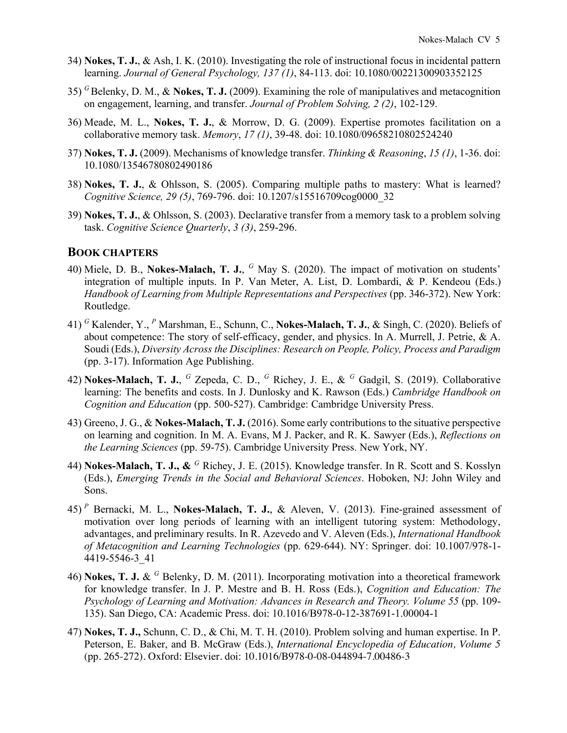- 34) **Nokes, T. J.**, & Ash, I. K. (2010). Investigating the role of instructional focus in incidental pattern learning. *Journal of General Psychology, 137 (1)*, 84-113. doi: 10.1080/00221300903352125
- 35) *<sup>G</sup>*Belenky, D. M., & **Nokes, T. J.** (2009). Examining the role of manipulatives and metacognition on engagement, learning, and transfer. *Journal of Problem Solving, 2 (2)*, 102-129.
- 36) Meade, M. L., **Nokes, T. J.**, & Morrow, D. G. (2009). Expertise promotes facilitation on a collaborative memory task. *Memory*, *17 (1)*, 39-48. doi: 10.1080/09658210802524240
- 37) **Nokes, T. J.** (2009). Mechanisms of knowledge transfer. *Thinking & Reasoning*, *15 (1)*, 1-36. doi: 10.1080/13546780802490186
- 38) **Nokes, T. J.**, & Ohlsson, S. (2005). Comparing multiple paths to mastery: What is learned? *Cognitive Science, 29 (5)*, 769-796. doi: 10.1207/s15516709cog0000\_32
- 39) **Nokes, T. J.**, & Ohlsson, S. (2003). Declarative transfer from a memory task to a problem solving task. *Cognitive Science Quarterly*, *3 (3)*, 259-296.

#### **BOOK CHAPTERS**

- 40) Miele, D. B., **Nokes-Malach, T. J.**, *<sup>G</sup>* May S. (2020). The impact of motivation on students' integration of multiple inputs. In P. Van Meter, A. List, D. Lombardi, & P. Kendeou (Eds.) *Handbook of Learning from Multiple Representations and Perspectives* (pp. 346-372). New York: Routledge.
- 41) *<sup>G</sup>* Kalender, Y., *<sup>P</sup>* Marshman, E., Schunn, C., **Nokes-Malach, T. J.**, & Singh, C. (2020). Beliefs of about competence: The story of self-efficacy, gender, and physics. In A. Murrell, J. Petrie, & A. Soudi (Eds.), *Diversity Across the Disciplines: Research on People, Policy, Process and Paradigm* (pp. 3-17). Information Age Publishing.
- 42) **Nokes-Malach, T. J.**, *<sup>G</sup>* Zepeda, C. D., *<sup>G</sup>* Richey, J. E., & *<sup>G</sup>* Gadgil, S. (2019). Collaborative learning: The benefits and costs. In J. Dunlosky and K. Rawson (Eds.) *Cambridge Handbook on Cognition and Education* (pp. 500-527). Cambridge: Cambridge University Press.
- 43) Greeno, J. G., & **Nokes-Malach, T. J.** (2016). Some early contributions to the situative perspective on learning and cognition. In M. A. Evans, M J. Packer, and R. K. Sawyer (Eds.), *Reflections on the Learning Sciences* (pp. 59-75). Cambridge University Press. New York, NY.
- 44) **Nokes-Malach, T. J., &** *<sup>G</sup>* Richey, J. E. (2015). Knowledge transfer. In R. Scott and S. Kosslyn (Eds.), *Emerging Trends in the Social and Behavioral Sciences*. Hoboken, NJ: John Wiley and Sons.
- 45) *<sup>P</sup>* Bernacki, M. L., **Nokes-Malach, T. J.**, & Aleven, V. (2013). Fine-grained assessment of motivation over long periods of learning with an intelligent tutoring system: Methodology, advantages, and preliminary results. In R. Azevedo and V. Aleven (Eds.), *International Handbook of Metacognition and Learning Technologies* (pp. 629-644). NY: Springer. doi: 10.1007/978-1- 4419-5546-3\_41
- 46) **Nokes, T. J.** & *<sup>G</sup>* Belenky, D. M. (2011). Incorporating motivation into a theoretical framework for knowledge transfer. In J. P. Mestre and B. H. Ross (Eds.), *Cognition and Education: The Psychology of Learning and Motivation: Advances in Research and Theory. Volume 55* (pp. 109- 135). San Diego, CA: Academic Press. doi: 10.1016/B978-0-12-387691-1.00004-1
- 47) **Nokes, T. J.,** Schunn, C. D., & Chi, M. T. H. (2010). Problem solving and human expertise. In P. Peterson, E. Baker, and B. McGraw (Eds.), *International Encyclopedia of Education, Volume 5*  (pp. 265-272)*.* Oxford: Elsevier*.* doi: 10.1016/B978-0-08-044894-7.00486-3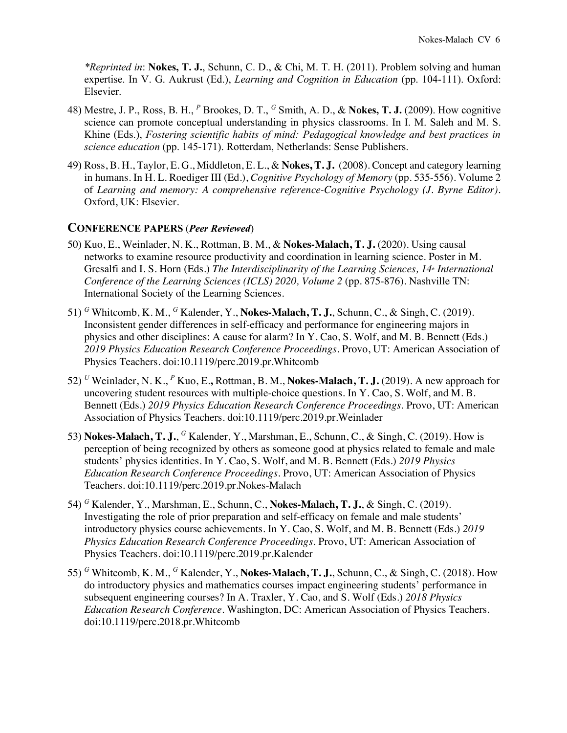*\*Reprinted in*: **Nokes, T. J.**, Schunn, C. D., & Chi, M. T. H. (2011). Problem solving and human expertise. In V. G. Aukrust (Ed.), *Learning and Cognition in Education* (pp. 104-111). Oxford: Elsevier.

- 48) Mestre, J. P., Ross, B. H., *<sup>P</sup>* Brookes, D. T., *<sup>G</sup>* Smith, A. D., & **Nokes, T. J.** (2009). How cognitive science can promote conceptual understanding in physics classrooms. In I. M. Saleh and M. S. Khine (Eds.), *Fostering scientific habits of mind: Pedagogical knowledge and best practices in science education* (pp. 145-171). Rotterdam, Netherlands: Sense Publishers.
- 49) Ross, B. H., Taylor, E. G., Middleton, E. L., & **Nokes, T. J.** (2008). Concept and category learning in humans. In H. L. Roediger III (Ed.), *Cognitive Psychology of Memory* (pp. 535-556). Volume 2 of *Learning and memory: A comprehensive reference-Cognitive Psychology (J. Byrne Editor).* Oxford, UK: Elsevier.

#### **CONFERENCE PAPERS** (*Peer Reviewed*)

- 50) Kuo, E., Weinlader, N. K., Rottman, B. M., & **Nokes-Malach, T. J.** (2020). Using causal networks to examine resource productivity and coordination in learning science. Poster in M. Gresalfi and I. S. Horn (Eds.) *The Interdisciplinarity of the Learning Sciences, 14<sup>th</sup> <i>International Conference of the Learning Sciences (ICLS) 2020, Volume 2* (pp. 875-876). Nashville TN: International Society of the Learning Sciences.
- 51) *<sup>G</sup>* Whitcomb, K. M., *<sup>G</sup>* Kalender, Y., **Nokes-Malach, T. J.**, Schunn, C., & Singh, C. (2019). Inconsistent gender differences in self-efficacy and performance for engineering majors in physics and other disciplines: A cause for alarm? In Y. Cao, S. Wolf, and M. B. Bennett (Eds.) *2019 Physics Education Research Conference Proceedings*. Provo, UT: American Association of Physics Teachers. doi:10.1119/perc.2019.pr.Whitcomb
- 52) *<sup>U</sup>* Weinlader, N. K., *<sup>P</sup>* Kuo, E.**,** Rottman, B. M., **Nokes-Malach, T. J.** (2019). A new approach for uncovering student resources with multiple-choice questions. In Y. Cao, S. Wolf, and M. B. Bennett (Eds.) *2019 Physics Education Research Conference Proceedings*. Provo, UT: American Association of Physics Teachers. doi:10.1119/perc.2019.pr.Weinlader
- 53) **Nokes-Malach, T. J.**, *<sup>G</sup>* Kalender, Y., Marshman, E., Schunn, C., & Singh, C. (2019). How is perception of being recognized by others as someone good at physics related to female and male students' physics identities. In Y. Cao, S. Wolf, and M. B. Bennett (Eds.) *2019 Physics Education Research Conference Proceedings*. Provo, UT: American Association of Physics Teachers. doi:10.1119/perc.2019.pr.Nokes-Malach
- 54) *<sup>G</sup>* Kalender, Y., Marshman, E., Schunn, C., **Nokes-Malach, T. J.**, & Singh, C. (2019). Investigating the role of prior preparation and self-efficacy on female and male students' introductory physics course achievements. In Y. Cao, S. Wolf, and M. B. Bennett (Eds.) *2019 Physics Education Research Conference Proceedings*. Provo, UT: American Association of Physics Teachers. doi:10.1119/perc.2019.pr.Kalender
- 55) *<sup>G</sup>* Whitcomb, K. M., *<sup>G</sup>* Kalender, Y., **Nokes-Malach, T. J.**, Schunn, C., & Singh, C. (2018). How do introductory physics and mathematics courses impact engineering students' performance in subsequent engineering courses? In A. Traxler, Y. Cao, and S. Wolf (Eds.) *2018 Physics Education Research Conference*. Washington, DC: American Association of Physics Teachers. doi:10.1119/perc.2018.pr.Whitcomb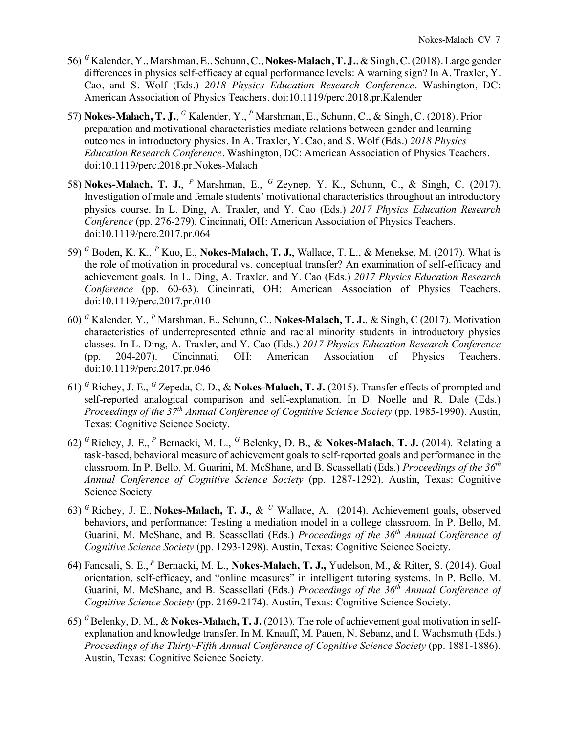- 56) *<sup>G</sup>* Kalender, Y., Marshman, E., Schunn, C., **Nokes-Malach, T. J.**, & Singh, C. (2018). Large gender differences in physics self-efficacy at equal performance levels: A warning sign? In A. Traxler, Y. Cao, and S. Wolf (Eds.) *2018 Physics Education Research Conference*. Washington, DC: American Association of Physics Teachers. doi:10.1119/perc.2018.pr.Kalender
- 57) **Nokes-Malach, T. J.**, *<sup>G</sup>* Kalender, Y., *<sup>P</sup>* Marshman, E., Schunn, C., & Singh, C. (2018). Prior preparation and motivational characteristics mediate relations between gender and learning outcomes in introductory physics. In A. Traxler, Y. Cao, and S. Wolf (Eds.) *2018 Physics Education Research Conference*. Washington, DC: American Association of Physics Teachers. doi:10.1119/perc.2018.pr.Nokes-Malach
- 58) **Nokes-Malach, T. J.**, <sup>*P*</sup> Marshman, E., <sup>*G*</sup> Zeynep, Y. K., Schunn, C., & Singh, C. (2017). Investigation of male and female students' motivational characteristics throughout an introductory physics course. In L. Ding, A. Traxler, and Y. Cao (Eds.) *2017 Physics Education Research Conference* (pp. 276-279). Cincinnati, OH: American Association of Physics Teachers. doi:10.1119/perc.2017.pr.064
- 59) *<sup>G</sup>* Boden, K. K., *<sup>P</sup>* Kuo, E., **Nokes-Malach, T. J.**, Wallace, T. L., & Menekse, M. (2017). What is the role of motivation in procedural vs. conceptual transfer? An examination of self-efficacy and achievement goals*.* In L. Ding, A. Traxler, and Y. Cao (Eds.) *2017 Physics Education Research Conference* (pp. 60-63). Cincinnati, OH: American Association of Physics Teachers. doi:10.1119/perc.2017.pr.010
- 60) *<sup>G</sup>* Kalender, Y., *<sup>P</sup>* Marshman, E., Schunn, C., **Nokes-Malach, T. J.**, & Singh, C (2017). Motivation characteristics of underrepresented ethnic and racial minority students in introductory physics classes. In L. Ding, A. Traxler, and Y. Cao (Eds.) *2017 Physics Education Research Conference* (pp. 204-207). Cincinnati, OH: American Association of Physics Teachers. doi:10.1119/perc.2017.pr.046
- 61) *<sup>G</sup>* Richey, J. E., *<sup>G</sup>* Zepeda, C. D., & **Nokes-Malach, T. J.** (2015). Transfer effects of prompted and self-reported analogical comparison and self-explanation. In D. Noelle and R. Dale (Eds.) *Proceedings of the 37th Annual Conference of Cognitive Science Society* (pp. 1985-1990). Austin, Texas: Cognitive Science Society.
- 62) *<sup>G</sup>*Richey, J. E., *<sup>P</sup>* Bernacki, M. L., *<sup>G</sup>* Belenky, D. B., & **Nokes-Malach, T. J.** (2014). Relating a task-based, behavioral measure of achievement goals to self-reported goals and performance in the classroom. In P. Bello, M. Guarini, M. McShane, and B. Scassellati (Eds.) *Proceedings of the 36th Annual Conference of Cognitive Science Society* (pp. 1287-1292). Austin, Texas: Cognitive Science Society.
- 63) *<sup>G</sup>*Richey, J. E., **Nokes-Malach, T. J.**, & *<sup>U</sup>* Wallace, A. (2014). Achievement goals, observed behaviors, and performance: Testing a mediation model in a college classroom. In P. Bello, M. Guarini, M. McShane, and B. Scassellati (Eds.) *Proceedings of the 36th Annual Conference of Cognitive Science Society* (pp. 1293-1298). Austin, Texas: Cognitive Science Society.
- 64) Fancsali, S. E., *<sup>P</sup>* Bernacki, M. L., **Nokes-Malach, T. J.,** Yudelson, M., & Ritter, S. (2014). Goal orientation, self-efficacy, and "online measures" in intelligent tutoring systems. In P. Bello, M. Guarini, M. McShane, and B. Scassellati (Eds.) *Proceedings of the 36th Annual Conference of Cognitive Science Society* (pp. 2169-2174). Austin, Texas: Cognitive Science Society.
- 65) *<sup>G</sup>*Belenky, D. M., & **Nokes-Malach, T. J.** (2013). The role of achievement goal motivation in selfexplanation and knowledge transfer. In M. Knauff, M. Pauen, N. Sebanz, and I. Wachsmuth (Eds.) *Proceedings of the Thirty-Fifth Annual Conference of Cognitive Science Society* (pp. 1881-1886). Austin, Texas: Cognitive Science Society.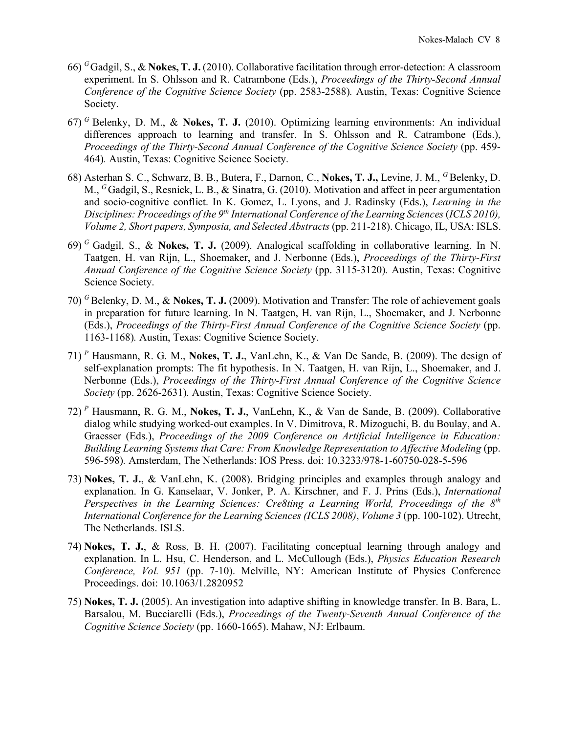- 66) *<sup>G</sup>*Gadgil, S., & **Nokes, T. J.** (2010). Collaborative facilitation through error-detection: A classroom experiment. In S. Ohlsson and R. Catrambone (Eds.), *Proceedings of the Thirty-Second Annual Conference of the Cognitive Science Society* (pp. 2583-2588)*.* Austin, Texas: Cognitive Science Society.
- 67) *<sup>G</sup>*Belenky, D. M., & **Nokes, T. J.** (2010). Optimizing learning environments: An individual differences approach to learning and transfer. In S. Ohlsson and R. Catrambone (Eds.), *Proceedings of the Thirty-Second Annual Conference of the Cognitive Science Society (pp. 459-*464)*.* Austin, Texas: Cognitive Science Society.
- 68) Asterhan S. C., Schwarz, B. B., Butera, F., Darnon, C., **Nokes, T. J.,** Levine, J. M., <sup>*G*</sup> Belenky, D. M., <sup>G</sup> Gadgil, S., Resnick, L. B., & Sinatra, G. (2010). Motivation and affect in peer argumentation and socio-cognitive conflict. In K. Gomez, L. Lyons, and J. Radinsky (Eds.), *Learning in the Disciplines: Proceedings of the 9th International Conference of the Learning Sciences* (*ICLS 2010), Volume 2, Short papers, Symposia, and Selected Abstracts* (pp. 211-218). Chicago, IL, USA: ISLS.
- 69) *<sup>G</sup>*Gadgil, S., & **Nokes, T. J.** (2009). Analogical scaffolding in collaborative learning. In N. Taatgen, H. van Rijn, L., Shoemaker, and J. Nerbonne (Eds.), *Proceedings of the Thirty-First Annual Conference of the Cognitive Science Society* (pp. 3115-3120)*.* Austin, Texas: Cognitive Science Society.
- 70) *<sup>G</sup>*Belenky, D. M., & **Nokes, T. J.** (2009). Motivation and Transfer: The role of achievement goals in preparation for future learning. In N. Taatgen, H. van Rijn, L., Shoemaker, and J. Nerbonne (Eds.), *Proceedings of the Thirty-First Annual Conference of the Cognitive Science Society* (pp. 1163-1168)*.* Austin, Texas: Cognitive Science Society.
- 71) *<sup>P</sup>* Hausmann, R. G. M., **Nokes, T. J.**, VanLehn, K., & Van De Sande, B. (2009). The design of self-explanation prompts: The fit hypothesis. In N. Taatgen, H. van Rijn, L., Shoemaker, and J. Nerbonne (Eds.), *Proceedings of the Thirty-First Annual Conference of the Cognitive Science Society* (pp. 2626-2631)*.* Austin, Texas: Cognitive Science Society.
- 72) *<sup>P</sup>* Hausmann, R. G. M., **Nokes, T. J.**, VanLehn, K., & Van de Sande, B. (2009). Collaborative dialog while studying worked-out examples. In V. Dimitrova, R. Mizoguchi, B. du Boulay, and A. Graesser (Eds.), *Proceedings of the 2009 Conference on Artificial Intelligence in Education: Building Learning Systems that Care: From Knowledge Representation to Affective Modeling* (pp. 596-598)*.* Amsterdam, The Netherlands: IOS Press. doi: 10.3233/978-1-60750-028-5-596
- 73) **Nokes, T. J.**, & VanLehn, K. (2008). Bridging principles and examples through analogy and explanation. In G. Kanselaar, V. Jonker, P. A. Kirschner, and F. J. Prins (Eds.), *International Perspectives in the Learning Sciences: Cre8ting a Learning World, Proceedings of the 8th International Conference for the Learning Sciences (ICLS 2008)*, *Volume 3* (pp. 100-102). Utrecht, The Netherlands. ISLS.
- 74) **Nokes, T. J.**, & Ross, B. H. (2007). Facilitating conceptual learning through analogy and explanation. In L. Hsu, C. Henderson, and L. McCullough (Eds.), *Physics Education Research Conference, Vol. 951* (pp. 7-10). Melville, NY: American Institute of Physics Conference Proceedings. doi: 10.1063/1.2820952
- 75) **Nokes, T. J.** (2005). An investigation into adaptive shifting in knowledge transfer. In B. Bara, L. Barsalou, M. Bucciarelli (Eds.), *Proceedings of the Twenty-Seventh Annual Conference of the Cognitive Science Society* (pp. 1660-1665). Mahaw, NJ: Erlbaum.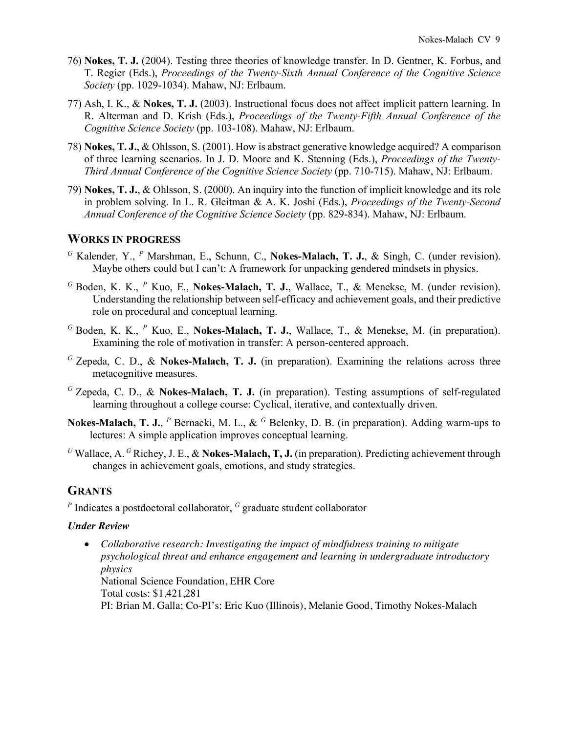- 76) **Nokes, T. J.** (2004). Testing three theories of knowledge transfer. In D. Gentner, K. Forbus, and T. Regier (Eds.), *Proceedings of the Twenty-Sixth Annual Conference of the Cognitive Science Society* (pp. 1029-1034). Mahaw, NJ: Erlbaum.
- 77) Ash, I. K., & **Nokes, T. J.** (2003). Instructional focus does not affect implicit pattern learning. In R. Alterman and D. Krish (Eds.), *Proceedings of the Twenty-Fifth Annual Conference of the Cognitive Science Society* (pp. 103-108). Mahaw, NJ: Erlbaum.
- 78) **Nokes, T. J.**, & Ohlsson, S. (2001). How is abstract generative knowledge acquired? A comparison of three learning scenarios. In J. D. Moore and K. Stenning (Eds.), *Proceedings of the Twenty-Third Annual Conference of the Cognitive Science Society* (pp. 710-715). Mahaw, NJ: Erlbaum.
- 79) **Nokes, T. J.**, & Ohlsson, S. (2000). An inquiry into the function of implicit knowledge and its role in problem solving. In L. R. Gleitman & A. K. Joshi (Eds.), *Proceedings of the Twenty-Second Annual Conference of the Cognitive Science Society* (pp. 829-834). Mahaw, NJ: Erlbaum.

# **WORKS IN PROGRESS**

- *<sup>G</sup>* Kalender, Y., *<sup>P</sup>* Marshman, E., Schunn, C., **Nokes-Malach, T. J.**, & Singh, C. (under revision). Maybe others could but I can't: A framework for unpacking gendered mindsets in physics.
- *<sup>G</sup>* Boden, K. K., *<sup>P</sup>* Kuo, E., **Nokes-Malach, T. J.**, Wallace, T., & Menekse, M. (under revision). Understanding the relationship between self-efficacy and achievement goals, and their predictive role on procedural and conceptual learning.
- *<sup>G</sup>* Boden, K. K., *<sup>P</sup>* Kuo, E., **Nokes-Malach, T. J.**, Wallace, T., & Menekse, M. (in preparation). Examining the role of motivation in transfer: A person-centered approach.
- *<sup>G</sup>* Zepeda, C. D., & **Nokes-Malach, T. J.** (in preparation). Examining the relations across three metacognitive measures.
- *<sup>G</sup>* Zepeda, C. D., & **Nokes-Malach, T. J.** (in preparation). Testing assumptions of self-regulated learning throughout a college course: Cyclical, iterative, and contextually driven.
- **Nokes-Malach, T. J.**, *<sup>P</sup>* Bernacki, M. L., & *<sup>G</sup>* Belenky, D. B. (in preparation). Adding warm-ups to lectures: A simple application improves conceptual learning.
- <sup>*U*</sup> Wallace, A. <sup>*G*</sup> Richey, J. E., & **Nokes-Malach, T. J.** (in preparation). Predicting achievement through changes in achievement goals, emotions, and study strategies.

# **GRANTS**

*<sup>P</sup>* Indicates a postdoctoral collaborator, *<sup>G</sup>* graduate student collaborator

#### *Under Review*

• *Collaborative research: Investigating the impact of mindfulness training to mitigate psychological threat and enhance engagement and learning in undergraduate introductory physics* National Science Foundation, EHR Core Total costs: \$1,421,281 PI: Brian M. Galla; Co-PI's: Eric Kuo (Illinois), Melanie Good, Timothy Nokes-Malach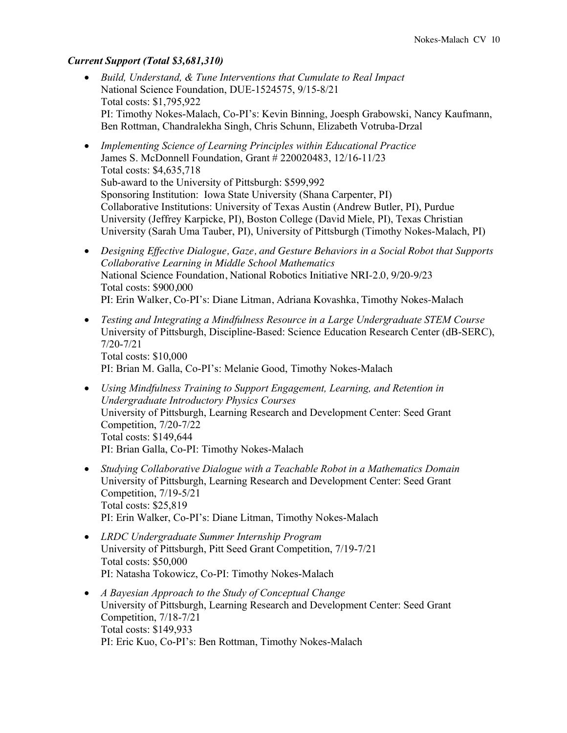#### *Current Support (Total \$3,681,310)*

- *Build, Understand, & Tune Interventions that Cumulate to Real Impact* National Science Foundation, DUE-1524575, 9/15-8/21 Total costs: \$1,795,922 PI: Timothy Nokes-Malach, Co-PI's: Kevin Binning, Joesph Grabowski, Nancy Kaufmann, Ben Rottman, Chandralekha Singh, Chris Schunn, Elizabeth Votruba-Drzal
- *Implementing Science of Learning Principles within Educational Practice* James S. McDonnell Foundation, Grant # 220020483, 12/16-11/23 Total costs: \$4,635,718 Sub-award to the University of Pittsburgh: \$599,992 Sponsoring Institution: Iowa State University (Shana Carpenter, PI) Collaborative Institutions: University of Texas Austin (Andrew Butler, PI), Purdue University (Jeffrey Karpicke, PI), Boston College (David Miele, PI), Texas Christian University (Sarah Uma Tauber, PI), University of Pittsburgh (Timothy Nokes-Malach, PI)
- *Designing Effective Dialogue, Gaze, and Gesture Behaviors in a Social Robot that Supports Collaborative Learning in Middle School Mathematics* National Science Foundation, National Robotics Initiative NRI-2.0*,* 9/20-9/23 Total costs: \$900,000 PI: Erin Walker, Co-PI's: Diane Litman, Adriana Kovashka, Timothy Nokes-Malach
- *Testing and Integrating a Mindfulness Resource in a Large Undergraduate STEM Course* University of Pittsburgh, Discipline-Based: Science Education Research Center (dB-SERC), 7/20-7/21 Total costs: \$10,000 PI: Brian M. Galla, Co-PI's: Melanie Good, Timothy Nokes-Malach
- *Using Mindfulness Training to Support Engagement, Learning, and Retention in Undergraduate Introductory Physics Courses* University of Pittsburgh, Learning Research and Development Center: Seed Grant Competition, 7/20-7/22 Total costs: \$149,644 PI: Brian Galla, Co-PI: Timothy Nokes-Malach
- *Studying Collaborative Dialogue with a Teachable Robot in a Mathematics Domain* University of Pittsburgh, Learning Research and Development Center: Seed Grant Competition, 7/19-5/21 Total costs: \$25,819 PI: Erin Walker, Co-PI's: Diane Litman, Timothy Nokes-Malach
- *LRDC Undergraduate Summer Internship Program* University of Pittsburgh, Pitt Seed Grant Competition, 7/19-7/21 Total costs: \$50,000 PI: Natasha Tokowicz, Co-PI: Timothy Nokes-Malach
- *A Bayesian Approach to the Study of Conceptual Change* University of Pittsburgh, Learning Research and Development Center: Seed Grant Competition, 7/18-7/21 Total costs: \$149,933 PI: Eric Kuo, Co-PI's: Ben Rottman, Timothy Nokes-Malach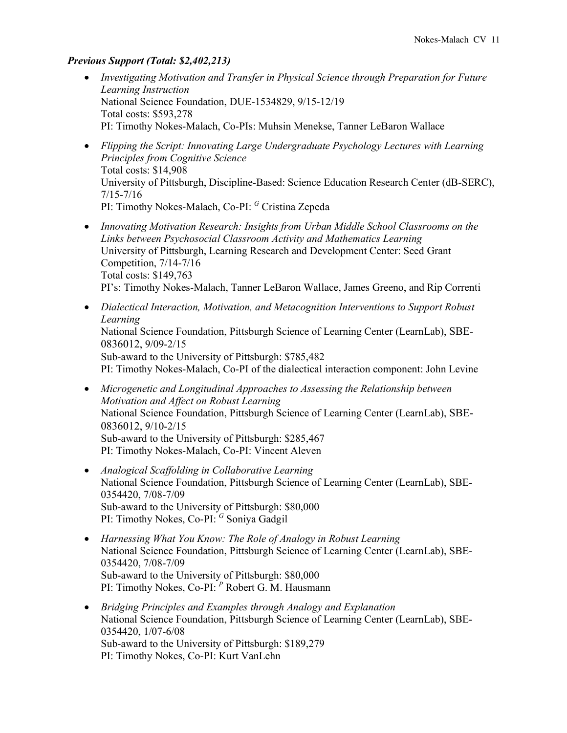#### *Previous Support (Total: \$2,402,213)*

- *Investigating Motivation and Transfer in Physical Science through Preparation for Future Learning Instruction* National Science Foundation, DUE-1534829, 9/15-12/19 Total costs: \$593,278 PI: Timothy Nokes-Malach, Co-PIs: Muhsin Menekse, Tanner LeBaron Wallace
- *Flipping the Script: Innovating Large Undergraduate Psychology Lectures with Learning Principles from Cognitive Science* Total costs: \$14,908 University of Pittsburgh, Discipline-Based: Science Education Research Center (dB-SERC), 7/15-7/16 PI: Timothy Nokes-Malach, Co-PI: *<sup>G</sup>* Cristina Zepeda
- *Innovating Motivation Research: Insights from Urban Middle School Classrooms on the Links between Psychosocial Classroom Activity and Mathematics Learning* University of Pittsburgh, Learning Research and Development Center: Seed Grant Competition, 7/14-7/16 Total costs: \$149,763 PI's: Timothy Nokes-Malach, Tanner LeBaron Wallace, James Greeno, and Rip Correnti
- *Dialectical Interaction, Motivation, and Metacognition Interventions to Support Robust Learning* National Science Foundation, Pittsburgh Science of Learning Center (LearnLab), SBE-0836012, 9/09-2/15 Sub-award to the University of Pittsburgh: \$785,482 PI: Timothy Nokes-Malach, Co-PI of the dialectical interaction component: John Levine
- *Microgenetic and Longitudinal Approaches to Assessing the Relationship between Motivation and Affect on Robust Learning* National Science Foundation, Pittsburgh Science of Learning Center (LearnLab), SBE-0836012, 9/10-2/15 Sub-award to the University of Pittsburgh: \$285,467 PI: Timothy Nokes-Malach, Co-PI: Vincent Aleven
- *Analogical Scaffolding in Collaborative Learning* National Science Foundation, Pittsburgh Science of Learning Center (LearnLab), SBE-0354420, 7/08-7/09 Sub-award to the University of Pittsburgh: \$80,000 PI: Timothy Nokes, Co-PI: *<sup>G</sup>* Soniya Gadgil
- *Harnessing What You Know: The Role of Analogy in Robust Learning*  National Science Foundation, Pittsburgh Science of Learning Center (LearnLab), SBE-0354420, 7/08-7/09 Sub-award to the University of Pittsburgh: \$80,000 PI: Timothy Nokes, Co-PI: *<sup>P</sup>* Robert G. M. Hausmann
- *Bridging Principles and Examples through Analogy and Explanation* National Science Foundation, Pittsburgh Science of Learning Center (LearnLab), SBE-0354420, 1/07-6/08 Sub-award to the University of Pittsburgh: \$189,279 PI: Timothy Nokes, Co-PI: Kurt VanLehn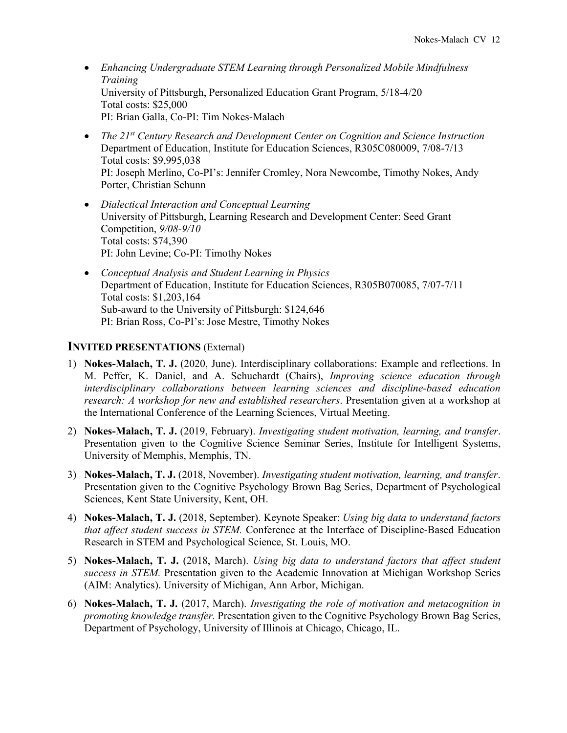- *Enhancing Undergraduate STEM Learning through Personalized Mobile Mindfulness Training* University of Pittsburgh, Personalized Education Grant Program, 5/18-4/20 Total costs: \$25,000 PI: Brian Galla, Co-PI: Tim Nokes-Malach
- *The 21st Century Research and Development Center on Cognition and Science Instruction* Department of Education, Institute for Education Sciences, R305C080009, 7/08-7/13 Total costs: \$9,995,038 PI: Joseph Merlino, Co-PI's: Jennifer Cromley, Nora Newcombe, Timothy Nokes, Andy Porter, Christian Schunn
- *Dialectical Interaction and Conceptual Learning*  University of Pittsburgh, Learning Research and Development Center: Seed Grant Competition, *9/08-9/10* Total costs: \$74,390 PI: John Levine; Co-PI: Timothy Nokes
- *Conceptual Analysis and Student Learning in Physics*  Department of Education, Institute for Education Sciences, R305B070085, 7/07-7/11 Total costs: \$1,203,164 Sub-award to the University of Pittsburgh: \$124,646 PI: Brian Ross, Co-PI's: Jose Mestre, Timothy Nokes

#### **INVITED PRESENTATIONS** (External)

- 1) **Nokes-Malach, T. J.** (2020, June). Interdisciplinary collaborations: Example and reflections. In M. Peffer, K. Daniel, and A. Schuchardt (Chairs), *Improving science education through interdisciplinary collaborations between learning sciences and discipline-based education research: A workshop for new and established researchers*. Presentation given at a workshop at the International Conference of the Learning Sciences, Virtual Meeting.
- 2) **Nokes-Malach, T. J.** (2019, February). *Investigating student motivation, learning, and transfer*. Presentation given to the Cognitive Science Seminar Series, Institute for Intelligent Systems, University of Memphis, Memphis, TN.
- 3) **Nokes-Malach, T. J.** (2018, November). *Investigating student motivation, learning, and transfer*. Presentation given to the Cognitive Psychology Brown Bag Series, Department of Psychological Sciences, Kent State University, Kent, OH.
- 4) **Nokes-Malach, T. J.** (2018, September). Keynote Speaker: *Using big data to understand factors that affect student success in STEM.* Conference at the Interface of Discipline-Based Education Research in STEM and Psychological Science, St. Louis, MO.
- 5) **Nokes-Malach, T. J.** (2018, March). *Using big data to understand factors that affect student success in STEM.* Presentation given to the Academic Innovation at Michigan Workshop Series (AIM: Analytics). University of Michigan, Ann Arbor, Michigan.
- 6) **Nokes-Malach, T. J.** (2017, March). *Investigating the role of motivation and metacognition in promoting knowledge transfer.* Presentation given to the Cognitive Psychology Brown Bag Series, Department of Psychology, University of Illinois at Chicago, Chicago, IL.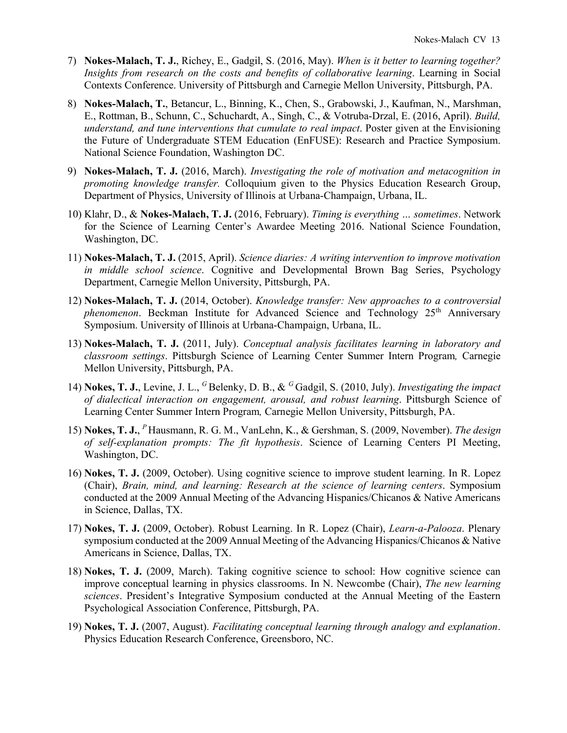- 7) **Nokes-Malach, T. J.**, Richey, E., Gadgil, S. (2016, May). *When is it better to learning together? Insights from research on the costs and benefits of collaborative learning*. Learning in Social Contexts Conference. University of Pittsburgh and Carnegie Mellon University, Pittsburgh, PA.
- 8) **Nokes-Malach, T.**, Betancur, L., Binning, K., Chen, S., Grabowski, J., Kaufman, N., Marshman, E., Rottman, B., Schunn, C., Schuchardt, A., Singh, C., & Votruba-Drzal, E. (2016, April). *Build, understand, and tune interventions that cumulate to real impact*. Poster given at the Envisioning the Future of Undergraduate STEM Education (EnFUSE): Research and Practice Symposium. National Science Foundation, Washington DC.
- 9) **Nokes-Malach, T. J.** (2016, March). *Investigating the role of motivation and metacognition in promoting knowledge transfer.* Colloquium given to the Physics Education Research Group, Department of Physics, University of Illinois at Urbana-Champaign, Urbana, IL.
- 10) Klahr, D., & **Nokes-Malach, T. J.** (2016, February). *Timing is everything … sometimes*. Network for the Science of Learning Center's Awardee Meeting 2016. National Science Foundation, Washington, DC.
- 11) **Nokes-Malach, T. J.** (2015, April). *Science diaries: A writing intervention to improve motivation in middle school science*. Cognitive and Developmental Brown Bag Series, Psychology Department, Carnegie Mellon University, Pittsburgh, PA.
- 12) **Nokes-Malach, T. J.** (2014, October). *Knowledge transfer: New approaches to a controversial phenomenon*. Beckman Institute for Advanced Science and Technology 25<sup>th</sup> Anniversary Symposium. University of Illinois at Urbana-Champaign, Urbana, IL.
- 13) **Nokes-Malach, T. J.** (2011, July). *Conceptual analysis facilitates learning in laboratory and classroom settings*. Pittsburgh Science of Learning Center Summer Intern Program*,* Carnegie Mellon University, Pittsburgh, PA.
- 14) **Nokes, T. J.**, Levine, J. L., <sup>G</sup>Belenky, D. B., & <sup>G</sup>Gadgil, S. (2010, July). *Investigating the impact of dialectical interaction on engagement, arousal, and robust learning*. Pittsburgh Science of Learning Center Summer Intern Program*,* Carnegie Mellon University, Pittsburgh, PA.
- 15) **Nokes, T. J.**, *<sup>P</sup>*Hausmann, R. G. M., VanLehn, K., & Gershman, S. (2009, November). *The design of self-explanation prompts: The fit hypothesis*. Science of Learning Centers PI Meeting, Washington, DC.
- 16) **Nokes, T. J.** (2009, October). Using cognitive science to improve student learning. In R. Lopez (Chair), *Brain, mind, and learning: Research at the science of learning centers*. Symposium conducted at the 2009 Annual Meeting of the Advancing Hispanics/Chicanos & Native Americans in Science, Dallas, TX.
- 17) **Nokes, T. J.** (2009, October). Robust Learning. In R. Lopez (Chair), *Learn-a-Palooza*. Plenary symposium conducted at the 2009 Annual Meeting of the Advancing Hispanics/Chicanos & Native Americans in Science, Dallas, TX.
- 18) **Nokes, T. J.** (2009, March). Taking cognitive science to school: How cognitive science can improve conceptual learning in physics classrooms. In N. Newcombe (Chair), *The new learning sciences*. President's Integrative Symposium conducted at the Annual Meeting of the Eastern Psychological Association Conference, Pittsburgh, PA.
- 19) **Nokes, T. J.** (2007, August). *Facilitating conceptual learning through analogy and explanation*. Physics Education Research Conference, Greensboro, NC.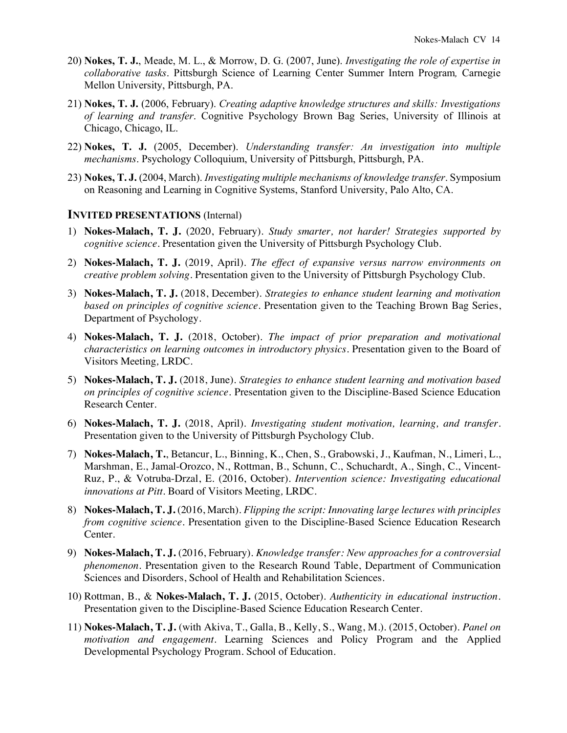- 20) **Nokes, T. J.**, Meade, M. L., & Morrow, D. G. (2007, June). *Investigating the role of expertise in collaborative tasks*. Pittsburgh Science of Learning Center Summer Intern Program*,* Carnegie Mellon University, Pittsburgh, PA.
- 21) **Nokes, T. J.** (2006, February). *Creating adaptive knowledge structures and skills: Investigations of learning and transfer*. Cognitive Psychology Brown Bag Series, University of Illinois at Chicago, Chicago, IL.
- 22) **Nokes, T. J.** (2005, December). *Understanding transfer: An investigation into multiple mechanisms*. Psychology Colloquium, University of Pittsburgh, Pittsburgh, PA.
- 23) **Nokes, T. J.** (2004, March). *Investigating multiple mechanisms of knowledge transfer*. Symposium on Reasoning and Learning in Cognitive Systems, Stanford University, Palo Alto, CA.

#### **INVITED PRESENTATIONS** (Internal)

- 1) **Nokes-Malach, T. J.** (2020, February). *Study smarter, not harder! Strategies supported by cognitive science*. Presentation given the University of Pittsburgh Psychology Club.
- 2) **Nokes-Malach, T. J.** (2019, April). *The effect of expansive versus narrow environments on creative problem solving*. Presentation given to the University of Pittsburgh Psychology Club.
- 3) **Nokes-Malach, T. J.** (2018, December). *Strategies to enhance student learning and motivation based on principles of cognitive science.* Presentation given to the Teaching Brown Bag Series, Department of Psychology.
- 4) **Nokes-Malach, T. J.** (2018, October). *The impact of prior preparation and motivational characteristics on learning outcomes in introductory physics.* Presentation given to the Board of Visitors Meeting*,* LRDC.
- 5) **Nokes-Malach, T. J.** (2018, June). *Strategies to enhance student learning and motivation based on principles of cognitive science*. Presentation given to the Discipline-Based Science Education Research Center.
- 6) **Nokes-Malach, T. J.** (2018, April). *Investigating student motivation, learning, and transfer*. Presentation given to the University of Pittsburgh Psychology Club.
- 7) **Nokes-Malach, T.**, Betancur, L., Binning, K., Chen, S., Grabowski, J., Kaufman, N., Limeri, L., Marshman, E., Jamal-Orozco, N., Rottman, B., Schunn, C., Schuchardt, A., Singh, C., Vincent-Ruz, P., & Votruba-Drzal, E. (2016, October). *Intervention science: Investigating educational innovations at Pitt*. Board of Visitors Meeting*,* LRDC.
- 8) **Nokes-Malach, T. J.** (2016, March). *Flipping the script: Innovating large lectures with principles from cognitive science*. Presentation given to the Discipline-Based Science Education Research Center.
- 9) **Nokes-Malach, T. J.** (2016, February). *Knowledge transfer: New approaches for a controversial phenomenon*. Presentation given to the Research Round Table, Department of Communication Sciences and Disorders, School of Health and Rehabilitation Sciences.
- 10) Rottman, B., & **Nokes-Malach, T. J.** (2015, October). *Authenticity in educational instruction*. Presentation given to the Discipline-Based Science Education Research Center.
- 11) **Nokes-Malach, T. J.** (with Akiva, T., Galla, B., Kelly, S., Wang, M.). (2015, October). *Panel on motivation and engagement*. Learning Sciences and Policy Program and the Applied Developmental Psychology Program. School of Education.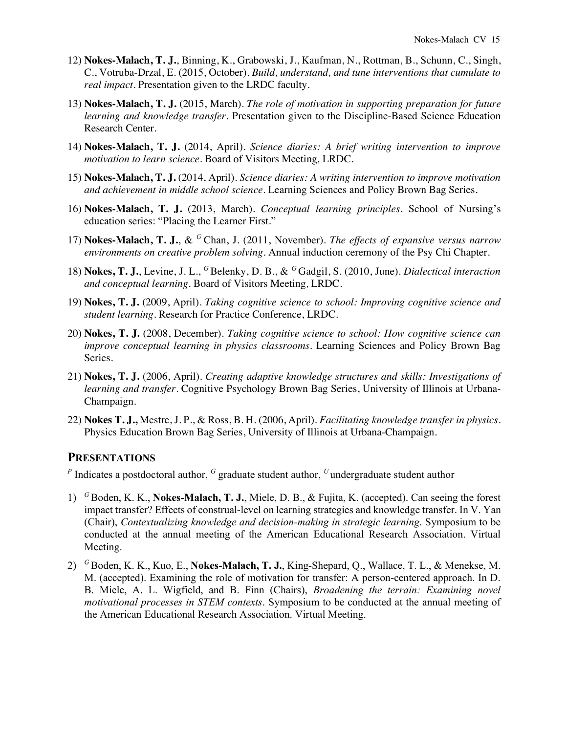- 12) **Nokes-Malach, T. J.**, Binning, K., Grabowski, J., Kaufman, N., Rottman, B., Schunn, C., Singh, C., Votruba-Drzal, E. (2015, October). *Build, understand, and tune interventions that cumulate to real impact*. Presentation given to the LRDC faculty.
- 13) **Nokes-Malach, T. J.** (2015, March). *The role of motivation in supporting preparation for future learning and knowledge transfer*. Presentation given to the Discipline-Based Science Education Research Center.
- 14) **Nokes-Malach, T. J.** (2014, April). *Science diaries: A brief writing intervention to improve motivation to learn science*. Board of Visitors Meeting*,* LRDC.
- 15) **Nokes-Malach, T. J.** (2014, April). *Science diaries: A writing intervention to improve motivation and achievement in middle school science*. Learning Sciences and Policy Brown Bag Series.
- 16) **Nokes-Malach, T. J.** (2013, March). *Conceptual learning principles*. School of Nursing's education series: "Placing the Learner First."
- 17) **Nokes-Malach, T. J.**, & *<sup>G</sup>*Chan, J. (2011, November). *The effects of expansive versus narrow environments on creative problem solving*. Annual induction ceremony of the Psy Chi Chapter.
- 18) **Nokes, T. J.**, Levine, J. L., <sup>G</sup> Belenky, D. B., & <sup>G</sup> Gadgil, S. (2010, June). *Dialectical interaction and conceptual learning*. Board of Visitors Meeting*,* LRDC.
- 19) **Nokes, T. J.** (2009, April). *Taking cognitive science to school: Improving cognitive science and student learning*. Research for Practice Conference, LRDC.
- 20) **Nokes, T. J.** (2008, December). *Taking cognitive science to school: How cognitive science can improve conceptual learning in physics classrooms*. Learning Sciences and Policy Brown Bag Series.
- 21) **Nokes, T. J.** (2006, April). *Creating adaptive knowledge structures and skills: Investigations of learning and transfer*. Cognitive Psychology Brown Bag Series, University of Illinois at Urbana-Champaign.
- 22) **Nokes T. J.,** Mestre, J. P., & Ross, B. H. (2006, April). *Facilitating knowledge transfer in physics*. Physics Education Brown Bag Series, University of Illinois at Urbana-Champaign.

## **PRESENTATIONS**

*<sup>P</sup>* Indicates a postdoctoral author, *<sup>G</sup>* graduate student author, *<sup>U</sup>*undergraduate student author

- 1) *<sup>G</sup>* Boden, K. K., **Nokes-Malach, T. J.**, Miele, D. B., & Fujita, K. (accepted). Can seeing the forest impact transfer? Effects of construal-level on learning strategies and knowledge transfer. In V. Yan (Chair), *Contextualizing knowledge and decision-making in strategic learning*. Symposium to be conducted at the annual meeting of the American Educational Research Association. Virtual Meeting.
- 2) *<sup>G</sup>* Boden, K. K., Kuo, E., **Nokes-Malach, T. J.**, King-Shepard, Q., Wallace, T. L., & Menekse, M. M. (accepted). Examining the role of motivation for transfer: A person-centered approach. In D. B. Miele, A. L. Wigfield, and B. Finn (Chairs), *Broadening the terrain: Examining novel motivational processes in STEM contexts*. Symposium to be conducted at the annual meeting of the American Educational Research Association. Virtual Meeting.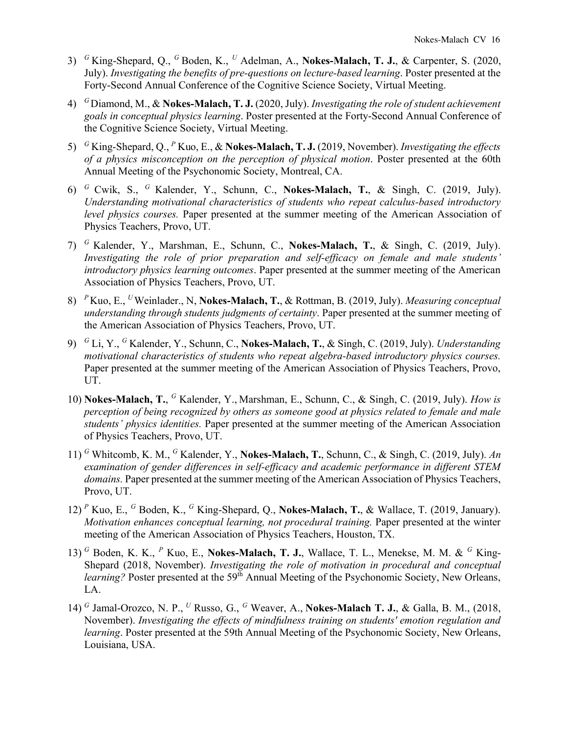- 3) *<sup>G</sup>*King-Shepard, Q., *<sup>G</sup>*Boden, K., *<sup>U</sup>* Adelman, A., **Nokes-Malach, T. J.**, & Carpenter, S. (2020, July). *Investigating the benefits of pre-questions on lecture-based learning*. Poster presented at the Forty-Second Annual Conference of the Cognitive Science Society, Virtual Meeting.
- 4) *<sup>G</sup>*Diamond, M., & **Nokes-Malach, T. J.** (2020, July). *Investigating the role of student achievement goals in conceptual physics learning*. Poster presented at the Forty-Second Annual Conference of the Cognitive Science Society, Virtual Meeting.
- 5) *<sup>G</sup>* King-Shepard, Q., *<sup>P</sup>* Kuo, E., & **Nokes-Malach, T. J.** (2019, November). *Investigating the effects of a physics misconception on the perception of physical motion*. Poster presented at the 60th Annual Meeting of the Psychonomic Society, Montreal, CA.
- 6) *<sup>G</sup>* Cwik, S., *<sup>G</sup>* Kalender, Y., Schunn, C., **Nokes-Malach, T.**, & Singh, C. (2019, July). *Understanding motivational characteristics of students who repeat calculus-based introductory level physics courses.* Paper presented at the summer meeting of the American Association of Physics Teachers, Provo, UT.
- 7) *<sup>G</sup>* Kalender, Y., Marshman, E., Schunn, C., **Nokes-Malach, T.**, & Singh, C. (2019, July). *Investigating the role of prior preparation and self-efficacy on female and male students' introductory physics learning outcomes*. Paper presented at the summer meeting of the American Association of Physics Teachers, Provo, UT.
- 8) *<sup>P</sup>* Kuo, E., *<sup>U</sup>*Weinlader., N, **Nokes-Malach, T.**, & Rottman, B. (2019, July). *Measuring conceptual understanding through students judgments of certainty*. Paper presented at the summer meeting of the American Association of Physics Teachers, Provo, UT.
- 9) *<sup>G</sup>* Li, Y., *<sup>G</sup>* Kalender, Y., Schunn, C., **Nokes-Malach, T.**, & Singh, C. (2019, July). *Understanding motivational characteristics of students who repeat algebra-based introductory physics courses.* Paper presented at the summer meeting of the American Association of Physics Teachers, Provo, UT.
- 10) **Nokes-Malach, T.**, *<sup>G</sup>* Kalender, Y., Marshman, E., Schunn, C., & Singh, C. (2019, July). *How is perception of being recognized by others as someone good at physics related to female and male students' physics identities.* Paper presented at the summer meeting of the American Association of Physics Teachers, Provo, UT.
- 11) *<sup>G</sup>* Whitcomb, K. M., *<sup>G</sup>* Kalender, Y., **Nokes-Malach, T.**, Schunn, C., & Singh, C. (2019, July). *An examination of gender differences in self-efficacy and academic performance in different STEM domains.* Paper presented at the summer meeting of the American Association of Physics Teachers, Provo, UT.
- 12) *<sup>P</sup>* Kuo, E., *<sup>G</sup>* Boden, K., *<sup>G</sup>* King-Shepard, Q., **Nokes-Malach, T.**, & Wallace, T. (2019, January). *Motivation enhances conceptual learning, not procedural training.* Paper presented at the winter meeting of the American Association of Physics Teachers, Houston, TX.
- 13) *<sup>G</sup>* Boden, K. K., *<sup>P</sup>* Kuo, E., **Nokes-Malach, T. J.**, Wallace, T. L., Menekse, M. M. & *<sup>G</sup>* King-Shepard (2018, November). *Investigating the role of motivation in procedural and conceptual learning?* Poster presented at the 59<sup>th</sup> Annual Meeting of the Psychonomic Society, New Orleans, LA.
- 14) *<sup>G</sup>* Jamal-Orozco, N. P., *<sup>U</sup>* Russo, G., *<sup>G</sup>* Weaver, A., **Nokes-Malach T. J.**, & Galla, B. M., (2018, November). *Investigating the effects of mindfulness training on students' emotion regulation and learning*. Poster presented at the 59th Annual Meeting of the Psychonomic Society, New Orleans, Louisiana, USA.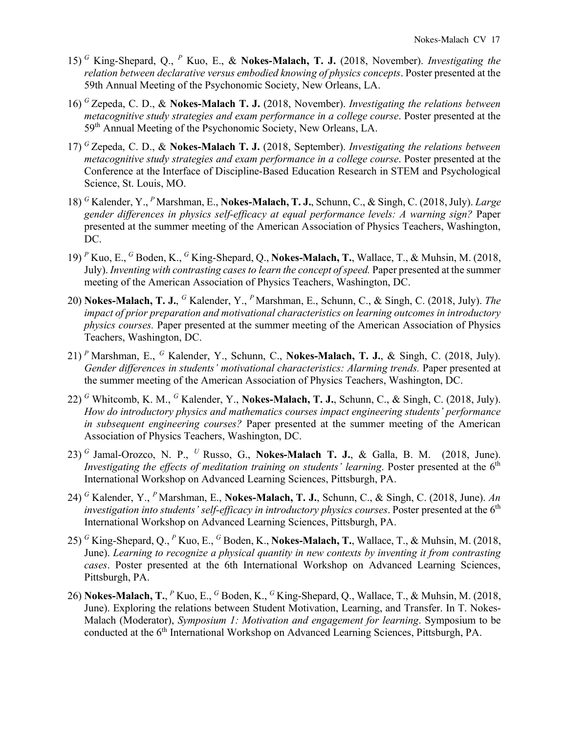- 15) *<sup>G</sup>* King-Shepard, Q., *<sup>P</sup>* Kuo, E., & **Nokes-Malach, T. J.** (2018, November). *Investigating the relation between declarative versus embodied knowing of physics concepts*. Poster presented at the 59th Annual Meeting of the Psychonomic Society, New Orleans, LA.
- 16) *<sup>G</sup>* Zepeda, C. D., & **Nokes-Malach T. J.** (2018, November). *Investigating the relations between metacognitive study strategies and exam performance in a college course*. Poster presented at the 59th Annual Meeting of the Psychonomic Society, New Orleans, LA.
- 17) *<sup>G</sup>* Zepeda, C. D., & **Nokes-Malach T. J.** (2018, September). *Investigating the relations between metacognitive study strategies and exam performance in a college course*. Poster presented at the Conference at the Interface of Discipline-Based Education Research in STEM and Psychological Science, St. Louis, MO.
- 18) *<sup>G</sup>* Kalender, Y., *<sup>P</sup>*Marshman, E., **Nokes-Malach, T. J.**, Schunn, C., & Singh, C. (2018, July). *Large gender differences in physics self-efficacy at equal performance levels: A warning sign?* Paper presented at the summer meeting of the American Association of Physics Teachers, Washington, DC.
- 19) *<sup>P</sup>* Kuo, E., *<sup>G</sup>* Boden, K., *<sup>G</sup>* King-Shepard, Q., **Nokes-Malach, T.**, Wallace, T., & Muhsin, M. (2018, July). *Inventing with contrasting cases to learn the concept of speed.* Paper presented at the summer meeting of the American Association of Physics Teachers, Washington, DC.
- 20) **Nokes-Malach, T. J.**, *<sup>G</sup>* Kalender, Y., *<sup>P</sup>* Marshman, E., Schunn, C., & Singh, C. (2018, July). *The impact of prior preparation and motivational characteristics on learning outcomes in introductory physics courses.* Paper presented at the summer meeting of the American Association of Physics Teachers, Washington, DC.
- 21) *<sup>P</sup>* Marshman, E., *<sup>G</sup>* Kalender, Y., Schunn, C., **Nokes-Malach, T. J.**, & Singh, C. (2018, July). *Gender differences in students' motivational characteristics: Alarming trends.* Paper presented at the summer meeting of the American Association of Physics Teachers, Washington, DC.
- 22) *<sup>G</sup>* Whitcomb, K. M., *<sup>G</sup>* Kalender, Y., **Nokes-Malach, T. J.**, Schunn, C., & Singh, C. (2018, July). *How do introductory physics and mathematics courses impact engineering students' performance in subsequent engineering courses?* Paper presented at the summer meeting of the American Association of Physics Teachers, Washington, DC.
- 23) *<sup>G</sup>* Jamal-Orozco, N. P., *<sup>U</sup>* Russo, G., **Nokes-Malach T. J.**, & Galla, B. M. (2018, June). *Investigating the effects of meditation training on students' learning.* Poster presented at the 6<sup>th</sup> International Workshop on Advanced Learning Sciences, Pittsburgh, PA.
- 24) *<sup>G</sup>* Kalender, Y., *<sup>P</sup>* Marshman, E., **Nokes-Malach, T. J.**, Schunn, C., & Singh, C. (2018, June). *An investigation into students' self-efficacy in introductory physics courses.* Poster presented at the 6<sup>th</sup> International Workshop on Advanced Learning Sciences, Pittsburgh, PA.
- 25) *<sup>G</sup>* King-Shepard, Q., *<sup>P</sup>* Kuo, E., *<sup>G</sup>* Boden, K., **Nokes-Malach, T.**, Wallace, T., & Muhsin, M. (2018, June). *Learning to recognize a physical quantity in new contexts by inventing it from contrasting cases*. Poster presented at the 6th International Workshop on Advanced Learning Sciences, Pittsburgh, PA.
- 26) **Nokes-Malach, T.**, *<sup>P</sup>* Kuo, E., *<sup>G</sup>* Boden, K., *<sup>G</sup>* King-Shepard, Q., Wallace, T., & Muhsin, M. (2018, June). Exploring the relations between Student Motivation, Learning, and Transfer. In T. Nokes-Malach (Moderator), *Symposium 1: Motivation and engagement for learning*. Symposium to be conducted at the 6<sup>th</sup> International Workshop on Advanced Learning Sciences, Pittsburgh, PA.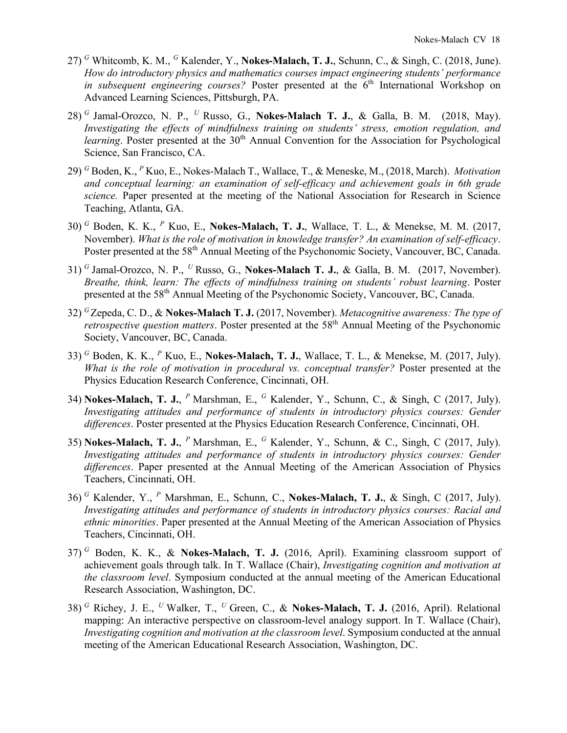- 27) *<sup>G</sup>* Whitcomb, K. M., *<sup>G</sup>* Kalender, Y., **Nokes-Malach, T. J.**, Schunn, C., & Singh, C. (2018, June). *How do introductory physics and mathematics courses impact engineering students' performance in subsequent engineering courses?* Poster presented at the 6<sup>th</sup> International Workshop on Advanced Learning Sciences, Pittsburgh, PA.
- 28) *<sup>G</sup>* Jamal-Orozco, N. P., *<sup>U</sup>* Russo, G., **Nokes-Malach T. J.**, & Galla, B. M. (2018, May). *Investigating the effects of mindfulness training on students' stress, emotion regulation, and learning*. Poster presented at the 30<sup>th</sup> Annual Convention for the Association for Psychological Science, San Francisco, CA.
- 29) *<sup>G</sup>* Boden, K., *<sup>P</sup>* Kuo, E., Nokes-Malach T., Wallace, T., & Meneske, M., (2018, March). *Motivation and conceptual learning: an examination of self-efficacy and achievement goals in 6th grade science.* Paper presented at the meeting of the National Association for Research in Science Teaching, Atlanta, GA.
- 30) *<sup>G</sup>* Boden, K. K., *<sup>P</sup>* Kuo, E., **Nokes-Malach, T. J.**, Wallace, T. L., & Menekse, M. M. (2017, November). *What is the role of motivation in knowledge transfer? An examination of self-efficacy*. Poster presented at the 58<sup>th</sup> Annual Meeting of the Psychonomic Society, Vancouver, BC, Canada.
- 31) *<sup>G</sup>* Jamal-Orozco, N. P., *<sup>U</sup>* Russo, G., **Nokes-Malach T. J.**, & Galla, B. M. (2017, November). *Breathe, think, learn: The effects of mindfulness training on students' robust learning*. Poster presented at the 58th Annual Meeting of the Psychonomic Society, Vancouver, BC, Canada.
- 32) *<sup>G</sup>* Zepeda, C. D., & **Nokes-Malach T. J.** (2017, November). *Metacognitive awareness: The type of retrospective question matters*. Poster presented at the 58<sup>th</sup> Annual Meeting of the Psychonomic Society, Vancouver, BC, Canada.
- 33) *<sup>G</sup>* Boden, K. K., *<sup>P</sup>* Kuo, E., **Nokes-Malach, T. J.**, Wallace, T. L., & Menekse, M. (2017, July). *What is the role of motivation in procedural vs. conceptual transfer?* Poster presented at the Physics Education Research Conference, Cincinnati, OH.
- 34) **Nokes-Malach, T. J.**, *<sup>P</sup>* Marshman, E., *<sup>G</sup>* Kalender, Y., Schunn, C., & Singh, C (2017, July). *Investigating attitudes and performance of students in introductory physics courses: Gender differences*. Poster presented at the Physics Education Research Conference, Cincinnati, OH.
- 35) **Nokes-Malach, T. J.**, *<sup>P</sup>* Marshman, E., *<sup>G</sup>* Kalender, Y., Schunn, & C., Singh, C (2017, July). *Investigating attitudes and performance of students in introductory physics courses: Gender differences*. Paper presented at the Annual Meeting of the American Association of Physics Teachers, Cincinnati, OH.
- 36) *<sup>G</sup>* Kalender, Y., *<sup>P</sup>* Marshman, E., Schunn, C., **Nokes-Malach, T. J.**, & Singh, C (2017, July). *Investigating attitudes and performance of students in introductory physics courses: Racial and ethnic minorities*. Paper presented at the Annual Meeting of the American Association of Physics Teachers, Cincinnati, OH.
- 37) *<sup>G</sup>* Boden, K. K., & **Nokes-Malach, T. J.** (2016, April). Examining classroom support of achievement goals through talk. In T. Wallace (Chair), *Investigating cognition and motivation at the classroom level*. Symposium conducted at the annual meeting of the American Educational Research Association, Washington, DC.
- 38) *<sup>G</sup>* Richey, J. E., *<sup>U</sup>*Walker, T., *<sup>U</sup>*Green, C., & **Nokes-Malach, T. J.** (2016, April). Relational mapping: An interactive perspective on classroom-level analogy support. In T. Wallace (Chair), *Investigating cognition and motivation at the classroom level*. Symposium conducted at the annual meeting of the American Educational Research Association, Washington, DC.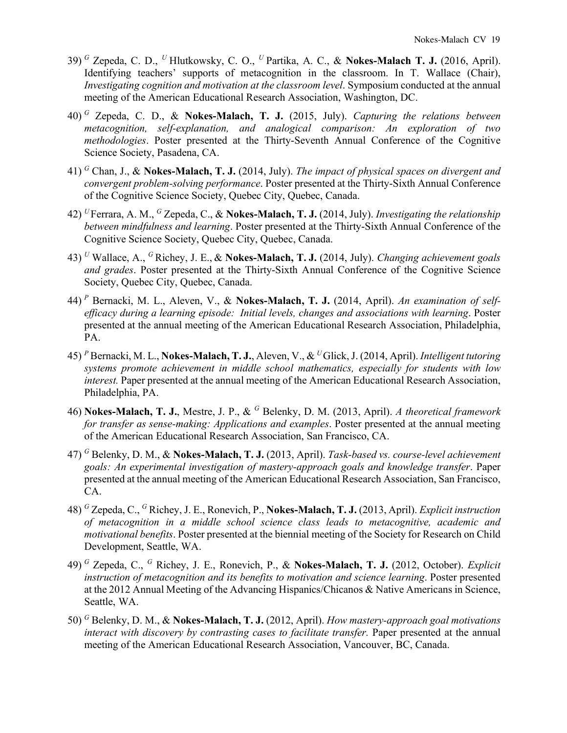- 39) *<sup>G</sup>* Zepeda, C. D., *<sup>U</sup>*Hlutkowsky, C. O., *<sup>U</sup>*Partika, A. C., & **Nokes-Malach T. J.** (2016, April). Identifying teachers' supports of metacognition in the classroom. In T. Wallace (Chair), *Investigating cognition and motivation at the classroom level*. Symposium conducted at the annual meeting of the American Educational Research Association, Washington, DC.
- 40) *<sup>G</sup>* Zepeda, C. D., & **Nokes-Malach, T. J.** (2015, July). *Capturing the relations between metacognition, self-explanation, and analogical comparison: An exploration of two methodologies*. Poster presented at the Thirty-Seventh Annual Conference of the Cognitive Science Society, Pasadena, CA.
- 41) *<sup>G</sup>* Chan, J., & **Nokes-Malach, T. J.** (2014, July). *The impact of physical spaces on divergent and convergent problem-solving performance*. Poster presented at the Thirty-Sixth Annual Conference of the Cognitive Science Society, Quebec City, Quebec, Canada.
- 42) *<sup>U</sup>*Ferrara, A. M., *<sup>G</sup>* Zepeda, C., & **Nokes-Malach, T. J.** (2014, July). *Investigating the relationship between mindfulness and learning*. Poster presented at the Thirty-Sixth Annual Conference of the Cognitive Science Society, Quebec City, Quebec, Canada.
- 43) *<sup>U</sup>* Wallace, A., *<sup>G</sup>*Richey, J. E., & **Nokes-Malach, T. J.** (2014, July). *Changing achievement goals and grades*. Poster presented at the Thirty-Sixth Annual Conference of the Cognitive Science Society, Quebec City, Quebec, Canada.
- 44) *<sup>P</sup>* Bernacki, M. L., Aleven, V., & **Nokes-Malach, T. J.** (2014, April). *An examination of selfefficacy during a learning episode: Initial levels, changes and associations with learning*. Poster presented at the annual meeting of the American Educational Research Association, Philadelphia, PA.
- 45) *<sup>P</sup>* Bernacki, M. L., **Nokes-Malach, T. J.**, Aleven, V., & *<sup>U</sup>*Glick, J. (2014, April). *Intelligent tutoring systems promote achievement in middle school mathematics, especially for students with low interest.* Paper presented at the annual meeting of the American Educational Research Association, Philadelphia, PA.
- 46) **Nokes-Malach, T. J.**, Mestre, J. P., & *<sup>G</sup>* Belenky, D. M. (2013, April). *A theoretical framework for transfer as sense-making: Applications and examples*. Poster presented at the annual meeting of the American Educational Research Association, San Francisco, CA.
- 47) *<sup>G</sup>* Belenky, D. M., & **Nokes-Malach, T. J.** (2013, April). *Task-based vs. course-level achievement goals: An experimental investigation of mastery-approach goals and knowledge transfer*. Paper presented at the annual meeting of the American Educational Research Association, San Francisco, CA.
- 48) *<sup>G</sup>* Zepeda, C., *<sup>G</sup>* Richey, J. E., Ronevich, P., **Nokes-Malach, T. J.** (2013, April). *Explicit instruction of metacognition in a middle school science class leads to metacognitive, academic and motivational benefits*. Poster presented at the biennial meeting of the Society for Research on Child Development, Seattle, WA.
- 49) *<sup>G</sup>* Zepeda, C., *<sup>G</sup>* Richey, J. E., Ronevich, P., & **Nokes-Malach, T. J.** (2012, October). *Explicit instruction of metacognition and its benefits to motivation and science learning*. Poster presented at the 2012 Annual Meeting of the Advancing Hispanics/Chicanos & Native Americans in Science, Seattle, WA.
- 50) *<sup>G</sup>* Belenky, D. M., & **Nokes-Malach, T. J.** (2012, April). *How mastery-approach goal motivations interact with discovery by contrasting cases to facilitate transfer.* Paper presented at the annual meeting of the American Educational Research Association, Vancouver, BC, Canada.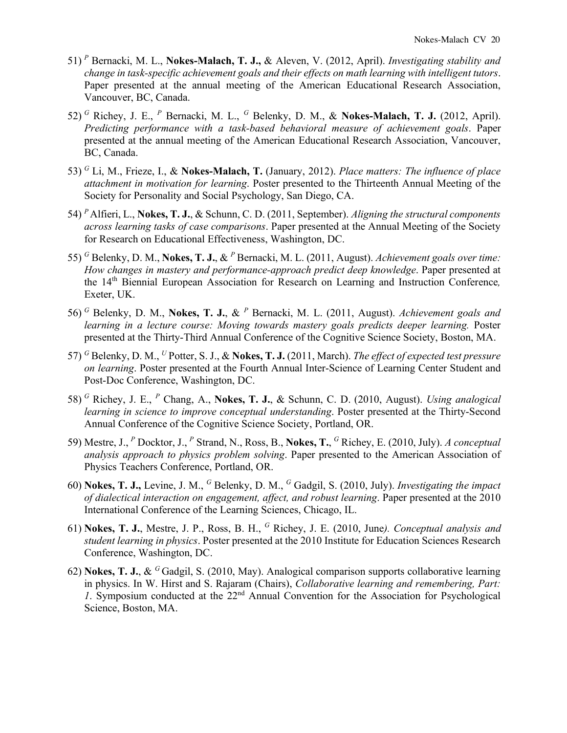- 51) *<sup>P</sup>* Bernacki, M. L., **Nokes-Malach, T. J.,** & Aleven, V. (2012, April). *Investigating stability and change in task-specific achievement goals and their effects on math learning with intelligent tutors*. Paper presented at the annual meeting of the American Educational Research Association, Vancouver, BC, Canada.
- 52) *<sup>G</sup>* Richey, J. E., *<sup>P</sup>* Bernacki, M. L., *<sup>G</sup>* Belenky, D. M., & **Nokes-Malach, T. J.** (2012, April). *Predicting performance with a task-based behavioral measure of achievement goals*. Paper presented at the annual meeting of the American Educational Research Association, Vancouver, BC, Canada.
- 53) *<sup>G</sup>* Li, M., Frieze, I., & **Nokes-Malach, T.** (January, 2012). *Place matters: The influence of place attachment in motivation for learning*. Poster presented to the Thirteenth Annual Meeting of the Society for Personality and Social Psychology, San Diego, CA.
- 54) *<sup>P</sup>* Alfieri, L., **Nokes, T. J.**, & Schunn, C. D. (2011, September). *Aligning the structural components across learning tasks of case comparisons*. Paper presented at the Annual Meeting of the Society for Research on Educational Effectiveness, Washington, DC.
- 55) *<sup>G</sup>* Belenky, D. M., **Nokes, T. J.**, & *<sup>P</sup>* Bernacki, M. L. (2011, August). *Achievement goals over time: How changes in mastery and performance-approach predict deep knowledge*. Paper presented at the 14th Biennial European Association for Research on Learning and Instruction Conference*,* Exeter, UK.
- 56) *<sup>G</sup>* Belenky, D. M., **Nokes, T. J.**, & *<sup>P</sup>* Bernacki, M. L. (2011, August). *Achievement goals and learning in a lecture course: Moving towards mastery goals predicts deeper learning.* Poster presented at the Thirty-Third Annual Conference of the Cognitive Science Society, Boston, MA.
- 57) *<sup>G</sup>* Belenky, D. M., *<sup>U</sup>* Potter, S. J., & **Nokes, T. J.** (2011, March). *The effect of expected test pressure on learning*. Poster presented at the Fourth Annual Inter-Science of Learning Center Student and Post-Doc Conference, Washington, DC.
- 58) *<sup>G</sup>* Richey, J. E., *<sup>P</sup>* Chang, A., **Nokes, T. J.**, & Schunn, C. D. (2010, August). *Using analogical learning in science to improve conceptual understanding*. Poster presented at the Thirty-Second Annual Conference of the Cognitive Science Society, Portland, OR.
- 59) Mestre, J., *<sup>P</sup>* Docktor, J., *<sup>P</sup>* Strand, N., Ross, B., **Nokes, T.**, *<sup>G</sup>* Richey, E. (2010, July). *A conceptual analysis approach to physics problem solving*. Paper presented to the American Association of Physics Teachers Conference, Portland, OR.
- 60) **Nokes, T. J.,** Levine, J. M., *<sup>G</sup>* Belenky, D. M., *<sup>G</sup>* Gadgil, S. (2010, July). *Investigating the impact of dialectical interaction on engagement, affect, and robust learning*. Paper presented at the 2010 International Conference of the Learning Sciences, Chicago, IL.
- 61) **Nokes, T. J.**, Mestre, J. P., Ross, B. H., *<sup>G</sup>* Richey, J. E. (2010, June*). Conceptual analysis and student learning in physics*. Poster presented at the 2010 Institute for Education Sciences Research Conference, Washington, DC.
- 62) **Nokes, T. J.**, & *<sup>G</sup>*Gadgil, S. (2010, May). Analogical comparison supports collaborative learning in physics. In W. Hirst and S. Rajaram (Chairs), *Collaborative learning and remembering, Part: 1*. Symposium conducted at the 22nd Annual Convention for the Association for Psychological Science, Boston, MA.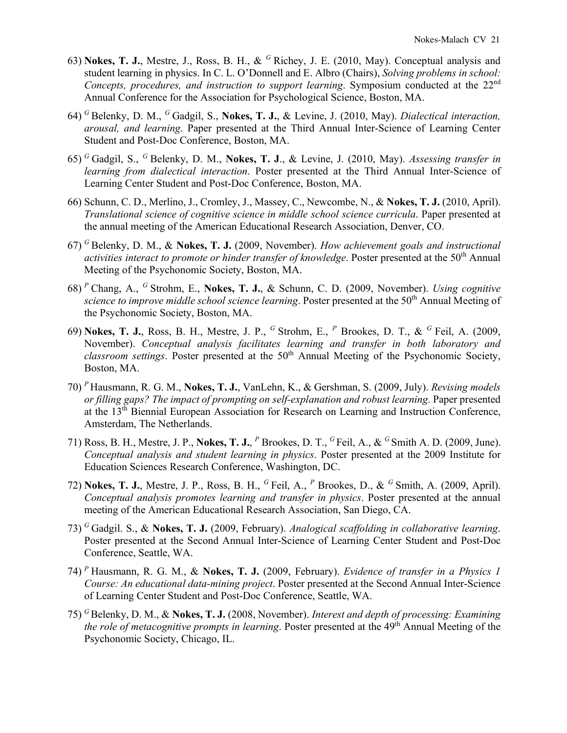- 63) **Nokes, T. J.**, Mestre, J., Ross, B. H., & *<sup>G</sup>*Richey, J. E. (2010, May). Conceptual analysis and student learning in physics. In C. L. O'Donnell and E. Albro (Chairs), *Solving problems in school: Concepts, procedures, and instruction to support learning*. Symposium conducted at the 22nd Annual Conference for the Association for Psychological Science, Boston, MA.
- 64) *<sup>G</sup>*Belenky, D. M., *<sup>G</sup>*Gadgil, S., **Nokes, T. J.**, & Levine, J. (2010, May). *Dialectical interaction, arousal, and learning*. Paper presented at the Third Annual Inter-Science of Learning Center Student and Post-Doc Conference, Boston, MA.
- 65) *<sup>G</sup>*Gadgil, S., *<sup>G</sup>*Belenky, D. M., **Nokes, T. J**., & Levine, J. (2010, May). *Assessing transfer in learning from dialectical interaction*. Poster presented at the Third Annual Inter-Science of Learning Center Student and Post-Doc Conference, Boston, MA.
- 66) Schunn, C. D., Merlino, J., Cromley, J., Massey, C., Newcombe, N., & **Nokes, T. J.** (2010, April). *Translational science of cognitive science in middle school science curricula*. Paper presented at the annual meeting of the American Educational Research Association, Denver, CO.
- 67) *<sup>G</sup>*Belenky, D. M., & **Nokes, T. J.** (2009, November). *How achievement goals and instructional activities interact to promote or hinder transfer of knowledge.* Poster presented at the 50<sup>th</sup> Annual Meeting of the Psychonomic Society, Boston, MA.
- 68) *<sup>P</sup>*Chang, A., *<sup>G</sup>*Strohm, E., **Nokes, T. J.**, & Schunn, C. D. (2009, November). *Using cognitive science to improve middle school science learning*. Poster presented at the 50<sup>th</sup> Annual Meeting of the Psychonomic Society, Boston, MA.
- 69) **Nokes, T. J.**, Ross, B. H., Mestre, J. P., *<sup>G</sup>*Strohm, E., *<sup>P</sup>* Brookes, D. T., & *<sup>G</sup>*Feil, A. (2009, November). *Conceptual analysis facilitates learning and transfer in both laboratory and classroom settings*. Poster presented at the 50th Annual Meeting of the Psychonomic Society, Boston, MA.
- 70) *<sup>P</sup>*Hausmann, R. G. M., **Nokes, T. J.**, VanLehn, K., & Gershman, S. (2009, July). *Revising models or filling gaps? The impact of prompting on self-explanation and robust learning*. Paper presented at the 13th Biennial European Association for Research on Learning and Instruction Conference, Amsterdam, The Netherlands.
- 71) Ross, B. H., Mestre, J. P., **Nokes, T. J.**, *<sup>P</sup>* Brookes, D. T., *<sup>G</sup>*Feil, A., & *<sup>G</sup>*Smith A. D. (2009, June). *Conceptual analysis and student learning in physics*. Poster presented at the 2009 Institute for Education Sciences Research Conference, Washington, DC.
- 72) **Nokes, T. J.**, Mestre, J. P., Ross, B. H., *<sup>G</sup>*Feil, A., *<sup>P</sup>* Brookes, D., & *<sup>G</sup>*Smith, A. (2009, April). *Conceptual analysis promotes learning and transfer in physics*. Poster presented at the annual meeting of the American Educational Research Association, San Diego, CA.
- 73) *<sup>G</sup>*Gadgil. S., & **Nokes, T. J.** (2009, February). *Analogical scaffolding in collaborative learning*. Poster presented at the Second Annual Inter-Science of Learning Center Student and Post-Doc Conference, Seattle, WA.
- 74) *<sup>P</sup>*Hausmann, R. G. M., & **Nokes, T. J.** (2009, February). *Evidence of transfer in a Physics 1 Course: An educational data-mining project*. Poster presented at the Second Annual Inter-Science of Learning Center Student and Post-Doc Conference, Seattle, WA.
- 75) *<sup>G</sup>*Belenky, D. M., & **Nokes, T. J.** (2008, November). *Interest and depth of processing: Examining the role of metacognitive prompts in learning.* Poster presented at the 49<sup>th</sup> Annual Meeting of the Psychonomic Society, Chicago, IL.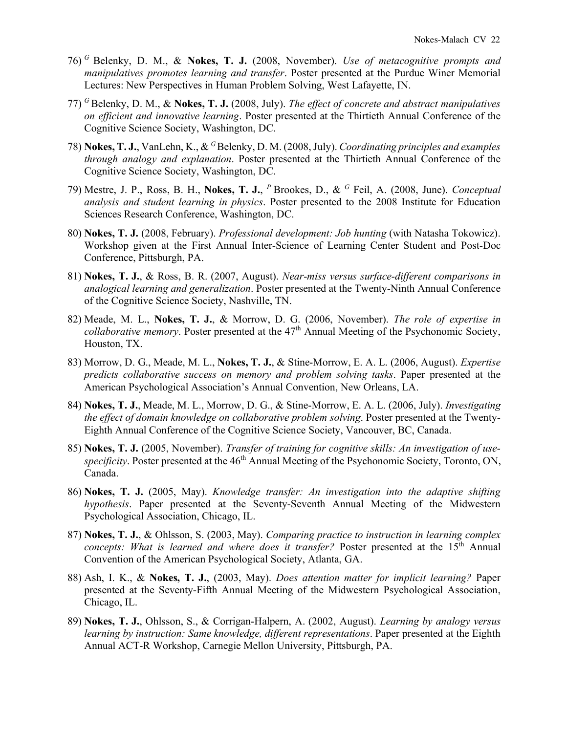- 76) *<sup>G</sup>*Belenky, D. M., & **Nokes, T. J.** (2008, November). *Use of metacognitive prompts and manipulatives promotes learning and transfer*. Poster presented at the Purdue Winer Memorial Lectures: New Perspectives in Human Problem Solving, West Lafayette, IN.
- 77) *<sup>G</sup>*Belenky, D. M., & **Nokes, T. J.** (2008, July). *The effect of concrete and abstract manipulatives on efficient and innovative learning*. Poster presented at the Thirtieth Annual Conference of the Cognitive Science Society, Washington, DC.
- 78) **Nokes, T. J.**, VanLehn, K., & <sup>G</sup>Belenky, D. M. (2008, July). *Coordinating principles and examples through analogy and explanation*. Poster presented at the Thirtieth Annual Conference of the Cognitive Science Society, Washington, DC.
- 79) Mestre, J. P., Ross, B. H., **Nokes, T. J.**, *<sup>P</sup>*Brookes, D., & *<sup>G</sup>* Feil, A. (2008, June). *Conceptual analysis and student learning in physics*. Poster presented to the 2008 Institute for Education Sciences Research Conference, Washington, DC.
- 80) **Nokes, T. J.** (2008, February). *Professional development: Job hunting* (with Natasha Tokowicz). Workshop given at the First Annual Inter-Science of Learning Center Student and Post-Doc Conference, Pittsburgh, PA.
- 81) **Nokes, T. J.**, & Ross, B. R. (2007, August). *Near-miss versus surface-different comparisons in analogical learning and generalization*. Poster presented at the Twenty-Ninth Annual Conference of the Cognitive Science Society, Nashville, TN.
- 82) Meade, M. L., **Nokes, T. J.**, & Morrow, D. G. (2006, November). *The role of expertise in collaborative memory*. Poster presented at the 47<sup>th</sup> Annual Meeting of the Psychonomic Society, Houston, TX.
- 83) Morrow, D. G., Meade, M. L., **Nokes, T. J.**, & Stine-Morrow, E. A. L. (2006, August). *Expertise predicts collaborative success on memory and problem solving tasks*. Paper presented at the American Psychological Association's Annual Convention, New Orleans, LA.
- 84) **Nokes, T. J.**, Meade, M. L., Morrow, D. G., & Stine-Morrow, E. A. L. (2006, July). *Investigating the effect of domain knowledge on collaborative problem solving*. Poster presented at the Twenty-Eighth Annual Conference of the Cognitive Science Society, Vancouver, BC, Canada.
- 85) **Nokes, T. J.** (2005, November). *Transfer of training for cognitive skills: An investigation of usespecificity*. Poster presented at the 46<sup>th</sup> Annual Meeting of the Psychonomic Society, Toronto, ON, Canada.
- 86) **Nokes, T. J.** (2005, May). *Knowledge transfer: An investigation into the adaptive shifting hypothesis*. Paper presented at the Seventy-Seventh Annual Meeting of the Midwestern Psychological Association, Chicago, IL.
- 87) **Nokes, T. J.**, & Ohlsson, S. (2003, May). *Comparing practice to instruction in learning complex concepts: What is learned and where does it transfer?* Poster presented at the 15<sup>th</sup> Annual Convention of the American Psychological Society, Atlanta, GA.
- 88) Ash, I. K., & **Nokes, T. J.**, (2003, May). *Does attention matter for implicit learning?* Paper presented at the Seventy-Fifth Annual Meeting of the Midwestern Psychological Association, Chicago, IL.
- 89) **Nokes, T. J.**, Ohlsson, S., & Corrigan-Halpern, A. (2002, August). *Learning by analogy versus learning by instruction: Same knowledge, different representations*. Paper presented at the Eighth Annual ACT-R Workshop, Carnegie Mellon University, Pittsburgh, PA.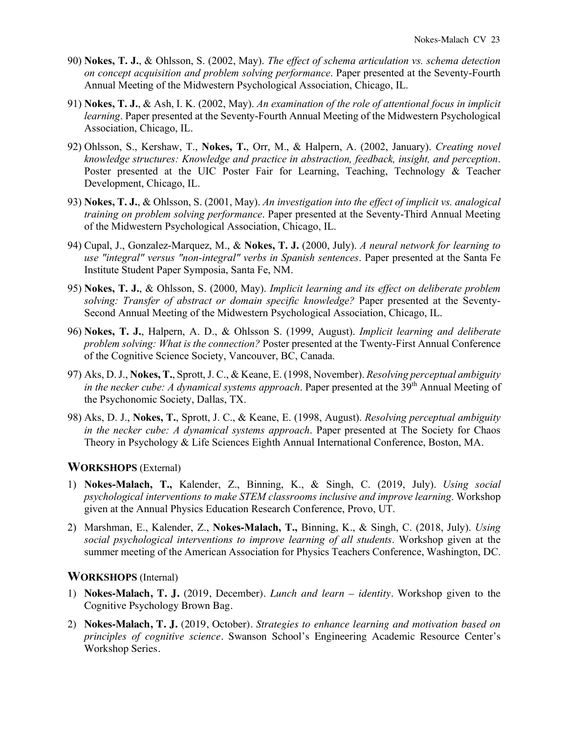- 90) **Nokes, T. J.**, & Ohlsson, S. (2002, May). *The effect of schema articulation vs. schema detection on concept acquisition and problem solving performance*. Paper presented at the Seventy-Fourth Annual Meeting of the Midwestern Psychological Association, Chicago, IL.
- 91) **Nokes, T. J.**, & Ash, I. K. (2002, May). *An examination of the role of attentional focus in implicit learning*. Paper presented at the Seventy-Fourth Annual Meeting of the Midwestern Psychological Association, Chicago, IL.
- 92) Ohlsson, S., Kershaw, T., **Nokes, T.**, Orr, M., & Halpern, A. (2002, January). *Creating novel knowledge structures: Knowledge and practice in abstraction, feedback, insight, and perception*. Poster presented at the UIC Poster Fair for Learning, Teaching, Technology & Teacher Development, Chicago, IL.
- 93) **Nokes, T. J.**, & Ohlsson, S. (2001, May). *An investigation into the effect of implicit vs. analogical training on problem solving performance*. Paper presented at the Seventy-Third Annual Meeting of the Midwestern Psychological Association, Chicago, IL.
- 94) Cupal, J., Gonzalez-Marquez, M., & **Nokes, T. J.** (2000, July). *A neural network for learning to use "integral" versus "non-integral" verbs in Spanish sentences*. Paper presented at the Santa Fe Institute Student Paper Symposia, Santa Fe, NM.
- 95) **Nokes, T. J.**, & Ohlsson, S. (2000, May). *Implicit learning and its effect on deliberate problem solving: Transfer of abstract or domain specific knowledge?* Paper presented at the Seventy-Second Annual Meeting of the Midwestern Psychological Association, Chicago, IL.
- 96) **Nokes, T. J.**, Halpern, A. D., & Ohlsson S. (1999, August). *Implicit learning and deliberate problem solving: What is the connection?* Poster presented at the Twenty-First Annual Conference of the Cognitive Science Society, Vancouver, BC, Canada.
- 97) Aks, D. J., **Nokes, T.**, Sprott, J. C., & Keane, E. (1998, November). *Resolving perceptual ambiguity in the necker cube: A dynamical systems approach.* Paper presented at the 39<sup>th</sup> Annual Meeting of the Psychonomic Society, Dallas, TX.
- 98) Aks, D. J., **Nokes, T.**, Sprott, J. C., & Keane, E. (1998, August). *Resolving perceptual ambiguity in the necker cube: A dynamical systems approach*. Paper presented at The Society for Chaos Theory in Psychology & Life Sciences Eighth Annual International Conference, Boston, MA.

## **WORKSHOPS** (External)

- 1) **Nokes-Malach, T.,** Kalender, Z., Binning, K., & Singh, C. (2019, July). *Using social psychological interventions to make STEM classrooms inclusive and improve learning*. Workshop given at the Annual Physics Education Research Conference, Provo, UT.
- 2) Marshman, E., Kalender, Z., **Nokes-Malach, T.,** Binning, K., & Singh, C. (2018, July). *Using social psychological interventions to improve learning of all students*. Workshop given at the summer meeting of the American Association for Physics Teachers Conference, Washington, DC.

#### **WORKSHOPS** (Internal)

- 1) **Nokes-Malach, T. J.** (2019, December). *Lunch and learn – identity*. Workshop given to the Cognitive Psychology Brown Bag.
- 2) **Nokes-Malach, T. J.** (2019, October). *Strategies to enhance learning and motivation based on principles of cognitive science*. Swanson School's Engineering Academic Resource Center's Workshop Series.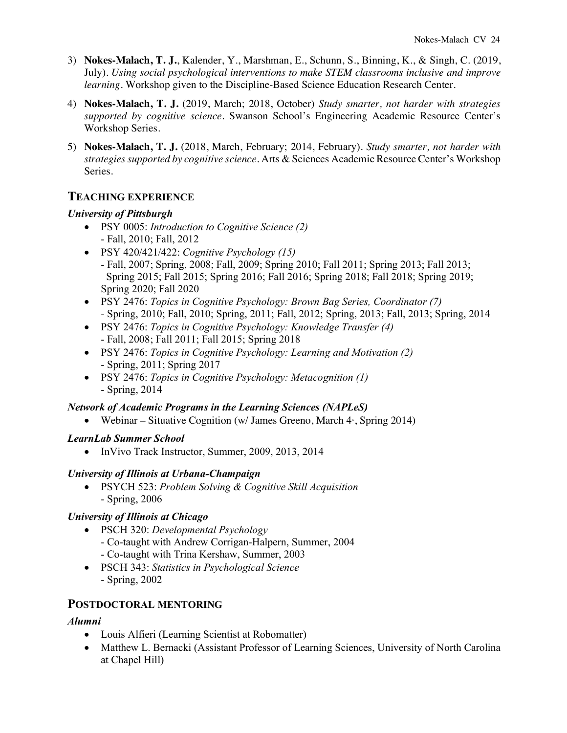- 3) **Nokes-Malach, T. J.**, Kalender, Y., Marshman, E., Schunn, S., Binning, K., & Singh, C. (2019, July). *Using social psychological interventions to make STEM classrooms inclusive and improve learning*. Workshop given to the Discipline-Based Science Education Research Center.
- 4) **Nokes-Malach, T. J.** (2019, March; 2018, October) *Study smarter, not harder with strategies supported by cognitive science*. Swanson School's Engineering Academic Resource Center's Workshop Series.
- 5) **Nokes-Malach, T. J.** (2018, March, February; 2014, February). *Study smarter, not harder with strategies supported by cognitive science*. Arts & Sciences Academic Resource Center's Workshop Series.

# **TEACHING EXPERIENCE**

#### *University of Pittsburgh*

- PSY 0005: *Introduction to Cognitive Science (2)* - Fall, 2010; Fall, 2012
- PSY 420/421/422: *Cognitive Psychology (15)* - Fall, 2007; Spring, 2008; Fall, 2009; Spring 2010; Fall 2011; Spring 2013; Fall 2013; Spring 2015; Fall 2015; Spring 2016; Fall 2016; Spring 2018; Fall 2018; Spring 2019; Spring 2020; Fall 2020
- PSY 2476: *Topics in Cognitive Psychology: Brown Bag Series, Coordinator (7) -* Spring, 2010; Fall, 2010; Spring, 2011; Fall, 2012; Spring, 2013; Fall, 2013; Spring, 2014
- PSY 2476: *Topics in Cognitive Psychology: Knowledge Transfer (4)* - Fall, 2008; Fall 2011; Fall 2015; Spring 2018
- PSY 2476: *Topics in Cognitive Psychology: Learning and Motivation (2)* - Spring, 2011; Spring 2017
- PSY 2476: *Topics in Cognitive Psychology: Metacognition (1)* - Spring, 2014

## *Network of Academic Programs in the Learning Sciences (NAPLeS)*

• Webinar – Situative Cognition (w/ James Greeno, March  $4^*$ , Spring 2014)

## *LearnLab Summer School*

• InVivo Track Instructor, Summer, 2009, 2013, 2014

#### *University of Illinois at Urbana-Champaign*

• PSYCH 523: *Problem Solving & Cognitive Skill Acquisition* - Spring, 2006

## *University of Illinois at Chicago*

- PSCH 320: *Developmental Psychology* - Co-taught with Andrew Corrigan-Halpern, Summer, 2004 - Co-taught with Trina Kershaw, Summer, 2003
- PSCH 343: *Statistics in Psychological Science* - Spring, 2002

## **POSTDOCTORAL MENTORING**

## *Alumni*

- Louis Alfieri (Learning Scientist at Robomatter)
- Matthew L. Bernacki (Assistant Professor of Learning Sciences, University of North Carolina at Chapel Hill)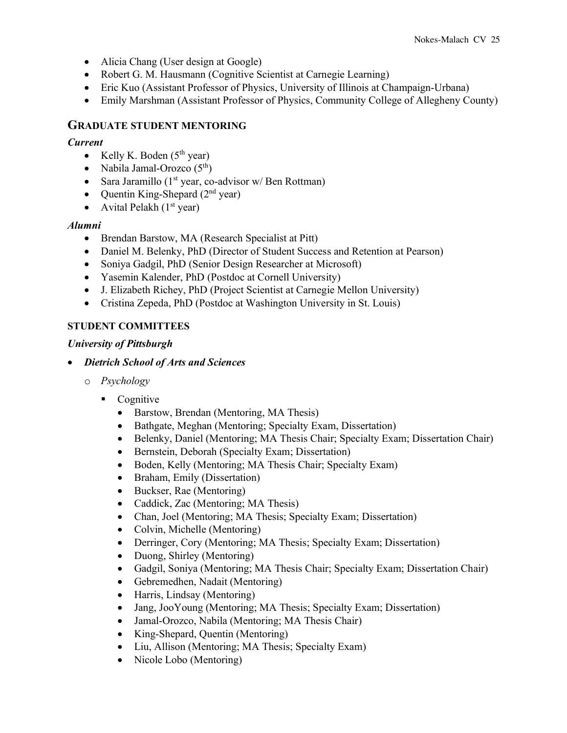- Alicia Chang (User design at Google)
- Robert G. M. Hausmann (Cognitive Scientist at Carnegie Learning)
- Eric Kuo (Assistant Professor of Physics, University of Illinois at Champaign-Urbana)
- Emily Marshman (Assistant Professor of Physics, Community College of Allegheny County)

## **GRADUATE STUDENT MENTORING**

#### *Current*

- Kelly K. Boden  $(5<sup>th</sup>$  year)
- Nabila Jamal-Orozco  $(5<sup>th</sup>)$
- Sara Jaramillo ( $1<sup>st</sup>$  year, co-advisor w/ Ben Rottman)
- Quentin King-Shepard  $(2<sup>nd</sup>$  year)
- Avital Pelakh  $(1<sup>st</sup>$  year)

## *Alumni*

- Brendan Barstow, MA (Research Specialist at Pitt)
- Daniel M. Belenky, PhD (Director of Student Success and Retention at Pearson)
- Soniya Gadgil, PhD (Senior Design Researcher at Microsoft)
- Yasemin Kalender, PhD (Postdoc at Cornell University)
- J. Elizabeth Richey, PhD (Project Scientist at Carnegie Mellon University)
- Cristina Zepeda, PhD (Postdoc at Washington University in St. Louis)

# **STUDENT COMMITTEES**

## *University of Pittsburgh*

- *Dietrich School of Arts and Sciences*
	- o *Psychology*
		- Cognitive
			- Barstow, Brendan (Mentoring, MA Thesis)
			- Bathgate, Meghan (Mentoring; Specialty Exam, Dissertation)
			- Belenky, Daniel (Mentoring; MA Thesis Chair; Specialty Exam; Dissertation Chair)
			- Bernstein, Deborah (Specialty Exam; Dissertation)
			- Boden, Kelly (Mentoring; MA Thesis Chair; Specialty Exam)
			- Braham, Emily (Dissertation)
			- Buckser, Rae (Mentoring)
			- Caddick, Zac (Mentoring; MA Thesis)
			- Chan, Joel (Mentoring; MA Thesis; Specialty Exam; Dissertation)
			- Colvin, Michelle (Mentoring)
			- Derringer, Cory (Mentoring; MA Thesis; Specialty Exam; Dissertation)
			- Duong, Shirley (Mentoring)
			- Gadgil, Soniya (Mentoring; MA Thesis Chair; Specialty Exam; Dissertation Chair)
			- Gebremedhen, Nadait (Mentoring)
			- Harris, Lindsay (Mentoring)
			- Jang, JooYoung (Mentoring; MA Thesis; Specialty Exam; Dissertation)
			- Jamal-Orozco, Nabila (Mentoring; MA Thesis Chair)
			- King-Shepard, Quentin (Mentoring)
			- Liu, Allison (Mentoring; MA Thesis; Specialty Exam)
			- Nicole Lobo (Mentoring)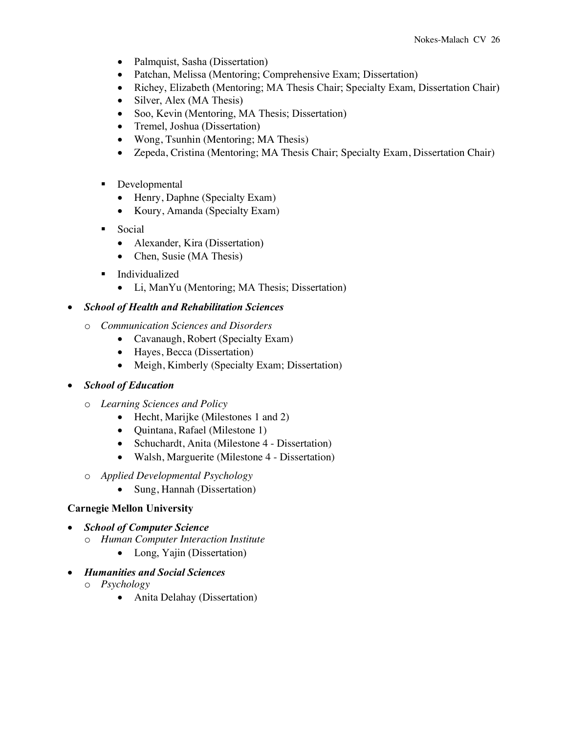- Palmquist, Sasha (Dissertation)
- Patchan, Melissa (Mentoring; Comprehensive Exam; Dissertation)
- Richey, Elizabeth (Mentoring; MA Thesis Chair; Specialty Exam, Dissertation Chair)
- Silver, Alex (MA Thesis)
- Soo, Kevin (Mentoring, MA Thesis; Dissertation)
- Tremel, Joshua (Dissertation)
- Wong, Tsunhin (Mentoring; MA Thesis)
- Zepeda, Cristina (Mentoring; MA Thesis Chair; Specialty Exam, Dissertation Chair)
- Developmental
	- Henry, Daphne (Specialty Exam)
	- Koury, Amanda (Specialty Exam)
- Social
	- Alexander, Kira (Dissertation)
	- Chen, Susie (MA Thesis)
- Individualized
	- Li, ManYu (Mentoring; MA Thesis; Dissertation)

# • *School of Health and Rehabilitation Sciences*

- o *Communication Sciences and Disorders*
	- Cavanaugh, Robert (Specialty Exam)
	- Hayes, Becca (Dissertation)
	- Meigh, Kimberly (Specialty Exam; Dissertation)
- *School of Education*
	- o *Learning Sciences and Policy* 
		- Hecht, Marijke (Milestones 1 and 2)
		- Quintana, Rafael (Milestone 1)
		- Schuchardt, Anita (Milestone 4 Dissertation)
		- Walsh, Marguerite (Milestone 4 Dissertation)
	- o *Applied Developmental Psychology*
		- Sung, Hannah (Dissertation)

## **Carnegie Mellon University**

- *School of Computer Science*
	- o *Human Computer Interaction Institute*
		- Long, Yajin (Dissertation)
- *Humanities and Social Sciences*
	- o *Psychology*
		- Anita Delahay (Dissertation)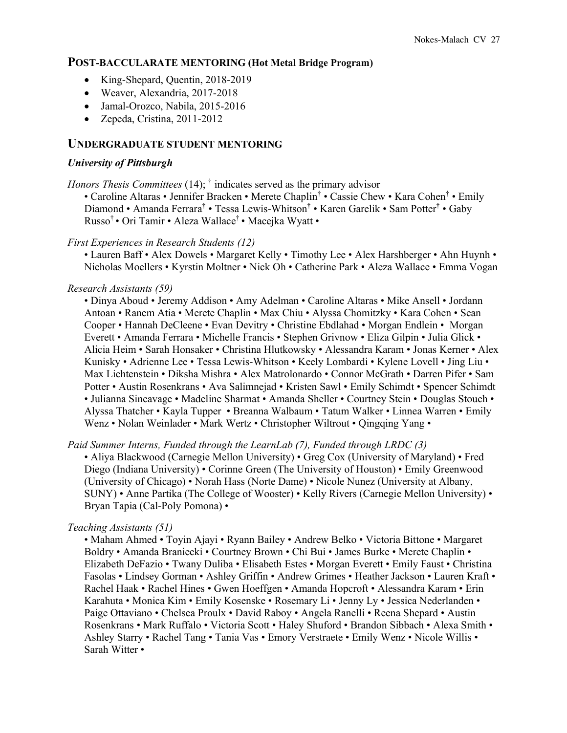#### **POST-BACCULARATE MENTORING (Hot Metal Bridge Program)**

- King-Shepard, Quentin, 2018-2019
- Weaver, Alexandria, 2017-2018
- Jamal-Orozco, Nabila, 2015-2016
- Zepeda, Cristina, 2011-2012

#### **UNDERGRADUATE STUDENT MENTORING**

#### *University of Pittsburgh*

*Honors Thesis Committees* (14); <sup>†</sup> indicates served as the primary advisor

• Caroline Altaras • Jennifer Bracken • Merete Chaplin<sup>†</sup> • Cassie Chew • Kara Cohen<sup>†</sup> • Emily Diamond • Amanda Ferrara† • Tessa Lewis-Whitson† • Karen Garelik • Sam Potter† • Gaby Russo† • Ori Tamir • Aleza Wallace† • Macejka Wyatt •

*First Experiences in Research Students (12)*

• Lauren Baff • Alex Dowels • Margaret Kelly • Timothy Lee • Alex Harshberger • Ahn Huynh • Nicholas Moellers • Kyrstin Moltner • Nick Oh • Catherine Park • Aleza Wallace • Emma Vogan

#### *Research Assistants (59)*

• Dinya Aboud • Jeremy Addison • Amy Adelman • Caroline Altaras • Mike Ansell • Jordann Antoan • Ranem Atia • Merete Chaplin • Max Chiu • Alyssa Chomitzky • Kara Cohen • Sean Cooper • Hannah DeCleene • Evan Devitry • Christine Ebdlahad • Morgan Endlein • Morgan Everett • Amanda Ferrara • Michelle Francis • Stephen Grivnow • Eliza Gilpin • Julia Glick • Alicia Heim • Sarah Honsaker • Christina Hlutkowsky • Alessandra Karam • Jonas Kerner • Alex Kunisky • Adrienne Lee • Tessa Lewis-Whitson • Keely Lombardi • Kylene Lovell • Jing Liu • Max Lichtenstein • Diksha Mishra • Alex Matrolonardo • Connor McGrath • Darren Pifer • Sam Potter • Austin Rosenkrans • Ava Salimnejad • Kristen Sawl • Emily Schimdt • Spencer Schimdt • Julianna Sincavage • Madeline Sharmat • Amanda Sheller • Courtney Stein • Douglas Stouch • Alyssa Thatcher • Kayla Tupper • Breanna Walbaum • Tatum Walker • Linnea Warren • Emily Wenz • Nolan Weinlader • Mark Wertz • Christopher Wiltrout • Qingqing Yang •

*Paid Summer Interns, Funded through the LearnLab (7), Funded through LRDC (3)*

• Aliya Blackwood (Carnegie Mellon University) • Greg Cox (University of Maryland) • Fred Diego (Indiana University) • Corinne Green (The University of Houston) • Emily Greenwood (University of Chicago) • Norah Hass (Norte Dame) • Nicole Nunez (University at Albany, SUNY) • Anne Partika (The College of Wooster) • Kelly Rivers (Carnegie Mellon University) • Bryan Tapia (Cal-Poly Pomona) •

#### *Teaching Assistants (51)*

• Maham Ahmed • Toyin Ajayi • Ryann Bailey • Andrew Belko • Victoria Bittone • Margaret Boldry • Amanda Braniecki • Courtney Brown • Chi Bui • James Burke • Merete Chaplin • Elizabeth DeFazio • Twany Duliba • Elisabeth Estes • Morgan Everett • Emily Faust • Christina Fasolas • Lindsey Gorman • Ashley Griffin • Andrew Grimes • Heather Jackson • Lauren Kraft • Rachel Haak • Rachel Hines • Gwen Hoeffgen • Amanda Hopcroft • Alessandra Karam • Erin Karahuta • Monica Kim • Emily Kosenske • Rosemary Li • Jenny Ly • Jessica Nederlanden • Paige Ottaviano • Chelsea Proulx • David Raboy • Angela Ranelli • Reena Shepard • Austin Rosenkrans • Mark Ruffalo • Victoria Scott • Haley Shuford • Brandon Sibbach • Alexa Smith • Ashley Starry • Rachel Tang • Tania Vas • Emory Verstraete • Emily Wenz • Nicole Willis • Sarah Witter •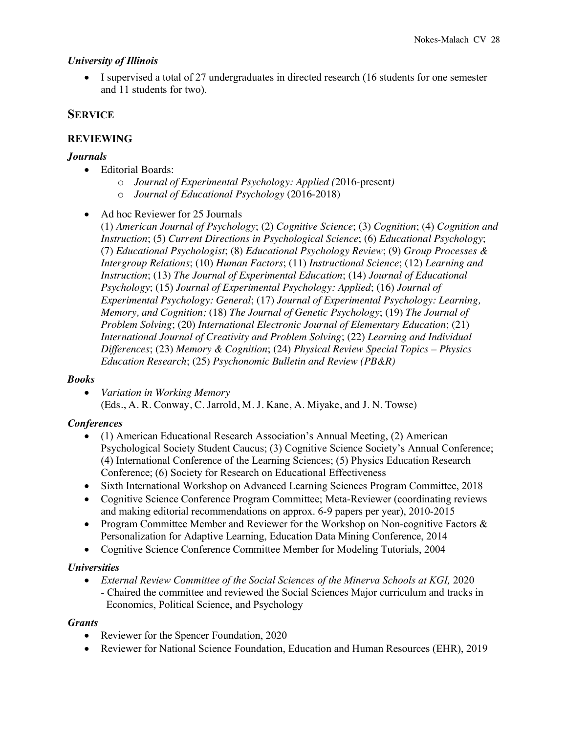#### *University of Illinois*

• I supervised a total of 27 undergraduates in directed research (16 students for one semester and 11 students for two).

## **SERVICE**

#### **REVIEWING**

#### *Journals*

- Editorial Boards:
	- o *Journal of Experimental Psychology: Applied (*2016*-*present*)*
	- o *Journal of Educational Psychology* (2016-2018)
- Ad hoc Reviewer for 25 Journals

(1) *American Journal of Psychology*; (2) *Cognitive Science*; (3) *Cognition*; (4) *Cognition and Instruction*; (5) *Current Directions in Psychological Science*; (6) *Educational Psychology*; (7) *Educational Psychologist*; (8) *Educational Psychology Review*; (9) *Group Processes & Intergroup Relations*; (10) *Human Factors*; (11) *Instructional Science*; (12) *Learning and Instruction*; (13) *The Journal of Experimental Education*; (14) *Journal of Educational Psychology*; (15) *Journal of Experimental Psychology: Applied*; (16) *Journal of Experimental Psychology: General*; (17) *Journal of Experimental Psychology: Learning, Memory, and Cognition;* (18) *The Journal of Genetic Psychology*; (19) *The Journal of Problem Solving*; (20) *International Electronic Journal of Elementary Education*; (21) *International Journal of Creativity and Problem Solving*; (22) *Learning and Individual Differences*; (23) *Memory & Cognition*; (24) *Physical Review Special Topics – Physics Education Research*; (25) *Psychonomic Bulletin and Review (PB&R)*

## *Books*

• *Variation in Working Memory* (Eds., A. R. Conway, C. Jarrold, M. J. Kane, A. Miyake, and J. N. Towse)

## *Conferences*

- (1) American Educational Research Association's Annual Meeting, (2) American Psychological Society Student Caucus; (3) Cognitive Science Society's Annual Conference; (4) International Conference of the Learning Sciences; (5) Physics Education Research Conference; (6) Society for Research on Educational Effectiveness
- Sixth International Workshop on Advanced Learning Sciences Program Committee, 2018
- Cognitive Science Conference Program Committee; Meta-Reviewer (coordinating reviews and making editorial recommendations on approx. 6-9 papers per year), 2010-2015
- Program Committee Member and Reviewer for the Workshop on Non-cognitive Factors  $\&$ Personalization for Adaptive Learning, Education Data Mining Conference, 2014
- Cognitive Science Conference Committee Member for Modeling Tutorials, 2004

## *Universities*

• *External Review Committee of the Social Sciences of the Minerva Schools at KGI, 2020* - Chaired the committee and reviewed the Social Sciences Major curriculum and tracks in Economics, Political Science, and Psychology

#### *Grants*

- Reviewer for the Spencer Foundation, 2020
- Reviewer for National Science Foundation, Education and Human Resources (EHR), 2019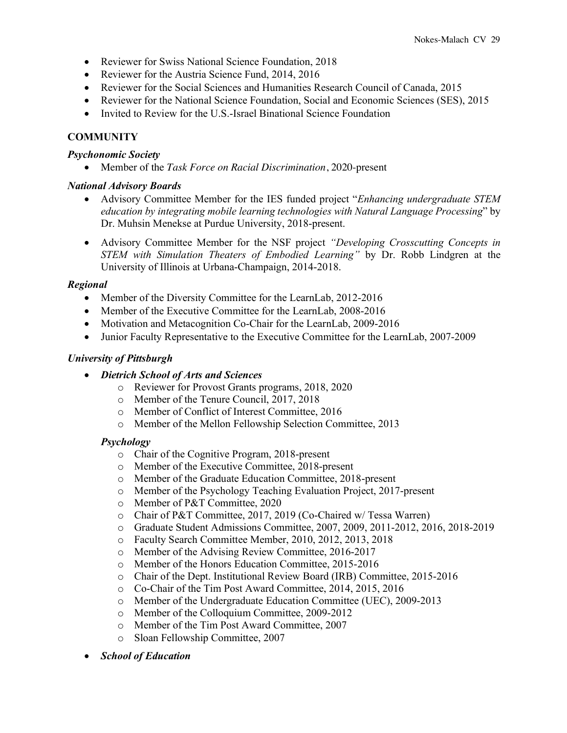- Reviewer for Swiss National Science Foundation, 2018
- Reviewer for the Austria Science Fund, 2014, 2016
- Reviewer for the Social Sciences and Humanities Research Council of Canada, 2015
- Reviewer for the National Science Foundation, Social and Economic Sciences (SES), 2015
- Invited to Review for the U.S.-Israel Binational Science Foundation

# **COMMUNITY**

#### *Psychonomic Society*

• Member of the *Task Force on Racial Discrimination*, 2020-present

#### *National Advisory Boards*

- Advisory Committee Member for the IES funded project "*Enhancing undergraduate STEM education by integrating mobile learning technologies with Natural Language Processing*" by Dr. Muhsin Menekse at Purdue University, 2018-present.
- Advisory Committee Member for the NSF project *"Developing Crosscutting Concepts in STEM with Simulation Theaters of Embodied Learning"* by Dr. Robb Lindgren at the University of Illinois at Urbana-Champaign, 2014-2018.

## *Regional*

- Member of the Diversity Committee for the LearnLab, 2012-2016
- Member of the Executive Committee for the LearnLab, 2008-2016
- Motivation and Metacognition Co-Chair for the LearnLab, 2009-2016
- Junior Faculty Representative to the Executive Committee for the LearnLab, 2007-2009

#### *University of Pittsburgh*

- *Dietrich School of Arts and Sciences*
	- o Reviewer for Provost Grants programs, 2018, 2020
	- o Member of the Tenure Council, 2017, 2018
	- o Member of Conflict of Interest Committee, 2016
	- o Member of the Mellon Fellowship Selection Committee, 2013

#### *Psychology*

- o Chair of the Cognitive Program, 2018-present
- o Member of the Executive Committee, 2018-present
- o Member of the Graduate Education Committee, 2018-present
- o Member of the Psychology Teaching Evaluation Project, 2017-present
- o Member of P&T Committee, 2020
- o Chair of P&T Committee, 2017, 2019 (Co-Chaired w/ Tessa Warren)
- o Graduate Student Admissions Committee, 2007, 2009, 2011-2012, 2016, 2018-2019
- o Faculty Search Committee Member, 2010, 2012, 2013, 2018
- o Member of the Advising Review Committee, 2016-2017
- o Member of the Honors Education Committee, 2015-2016
- o Chair of the Dept. Institutional Review Board (IRB) Committee, 2015-2016
- o Co-Chair of the Tim Post Award Committee, 2014, 2015, 2016
- o Member of the Undergraduate Education Committee (UEC), 2009-2013
- o Member of the Colloquium Committee, 2009-2012
- o Member of the Tim Post Award Committee, 2007
- o Sloan Fellowship Committee, 2007
- *School of Education*